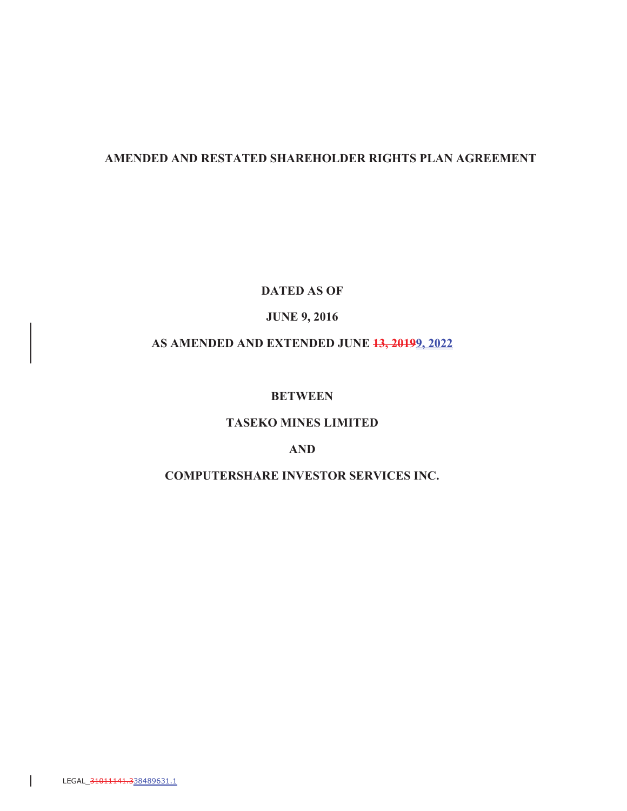# **AMENDED AND RESTATED SHAREHOLDER RIGHTS PLAN AGREEMENT**

**DATED AS OF**

### **JUNE 9, 2016**

# **AS AMENDED AND EXTENDED JUNE 13, 20199, 2022**

# **BETWEEN**

# **TASEKO MINES LIMITED**

# **AND**

# **COMPUTERSHARE INVESTOR SERVICES INC.**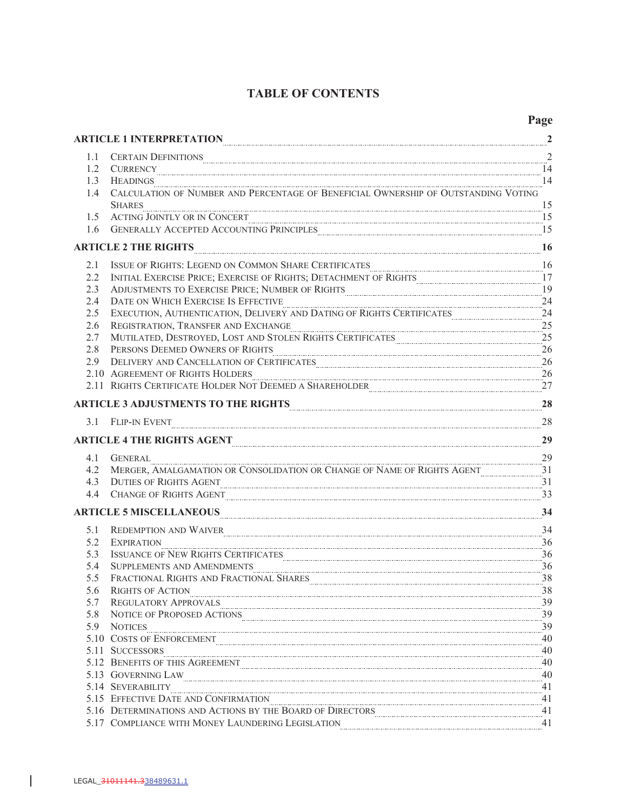# **TABLE OF CONTENTS**

 $\begin{array}{c} \begin{array}{c} \end{array} \end{array}$ 

| ARTICLE 1 INTERPRETATION<br>$\mathbf{r}$ |                                                                                                                                                                                                                                      |                        |
|------------------------------------------|--------------------------------------------------------------------------------------------------------------------------------------------------------------------------------------------------------------------------------------|------------------------|
| 1.1                                      |                                                                                                                                                                                                                                      |                        |
| $1.2^{\circ}$                            |                                                                                                                                                                                                                                      | 14                     |
| 1.3                                      |                                                                                                                                                                                                                                      | 14                     |
| 1.4                                      |                                                                                                                                                                                                                                      |                        |
|                                          | $\frac{15}{15}$<br><b>SHARES</b>                                                                                                                                                                                                     |                        |
| 1.5                                      | ACTING JOINTLY OR IN CONCERT                                                                                                                                                                                                         |                        |
| 1.6                                      | GENERALLY ACCEPTED ACCOUNTING PRINCIPLES <b>Examination contract and the COVID-15</b> 15                                                                                                                                             |                        |
|                                          | ARTICLE 2 THE RIGHTS 16                                                                                                                                                                                                              |                        |
| 2.1                                      | ISSUE OF RIGHTS: LEGEND ON COMMON SHARE CERTIFICATES <b>Example 2008</b> 2014                                                                                                                                                        |                        |
| 2.2                                      | INITIAL EXERCISE PRICE; EXERCISE OF RIGHTS; DETACHMENT OF RIGHTS <b>Exam Exercise PRICE</b> ; 17                                                                                                                                     |                        |
| 2.3                                      | ADJUSTMENTS TO EXERCISE PRICE; NUMBER OF RIGHTS <b>CONSUMERY AND ALL ACTION</b>                                                                                                                                                      | 19                     |
| 2.4                                      | DATE ON WHICH EXERCISE IS EFFECTIVE <b>CONSUMING THE ORIGINAL CONSUMING THE ORIGINAL CONSUMING THE ORIGINAL CONSUMING THE ORIGINAL CONSUMING THE ORIGINAL CONSUMING THE ORIGINAL CONSUMING THE ORIGINAL CONSUMING THE ORIGINAL C</b> |                        |
| 2.5                                      | EXECUTION, AUTHENTICATION, DELIVERY AND DATING OF RIGHTS CERTIFICATES 24                                                                                                                                                             |                        |
| 2.6                                      | REGISTRATION, TRANSFER AND EXCHANGE PRESERVED AND TRANSFER AND EXCHANGE                                                                                                                                                              | $\ldots$ <sup>25</sup> |
| 2.7                                      | MUTILATED, DESTROYED, LOST AND STOLEN RIGHTS CERTIFICATES <b>Example 25</b> 25                                                                                                                                                       |                        |
| 2.8                                      | PERSONS DEEMED OWNERS OF RIGHTS <b>CONNECTED ASSESSED ASSESSED ASSESS</b>                                                                                                                                                            | 26                     |
| 2.9                                      | DELIVERY AND CANCELLATION OF CERTIFICATES                                                                                                                                                                                            | 26                     |
|                                          | 2.10 AGREEMENT OF RIGHTS HOLDERS                                                                                                                                                                                                     | 26                     |
|                                          | 2.11 RIGHTS CERTIFICATE HOLDER NOT DEEMED A SHAREHOLDER                                                                                                                                                                              | 27                     |
|                                          | ARTICLE 3 ADJUSTMENTS TO THE RIGHTS <b>Example 2018</b> 2014 12:00 2014 2015 2016 2017 2018 2019 2014 2015 2016 2017                                                                                                                 | 28                     |
|                                          | 3.1 FLIP-IN EVENT                                                                                                                                                                                                                    | 28                     |
|                                          | ARTICLE 4 THE RIGHTS AGENT                                                                                                                                                                                                           | 29                     |
| 4.1                                      | $rac{29}{(GHTS A GPTF)}$<br><b>GENERAL</b>                                                                                                                                                                                           |                        |
| 4.2                                      |                                                                                                                                                                                                                                      |                        |
| 4.3                                      | DUTIES OF RIGHTS AGENT POWER AND THE SERVICE OF RIGHTS AGENT POWER AND THE SERVICE OF RIGHTS AGENT                                                                                                                                   | 31                     |
| 4.4                                      | CHANGE OF RIGHTS AGENT 23                                                                                                                                                                                                            |                        |
|                                          | ARTICLE 5 MISCELLANEOUS 34                                                                                                                                                                                                           |                        |
| 5.1                                      | REDEMPTION AND WAIVER                                                                                                                                                                                                                | 34                     |
| 5.2                                      | <b>EXPIRATION</b>                                                                                                                                                                                                                    | 36                     |
| 5.3                                      | ISSUANCE OF NEW RIGHTS CERTIFICATES                                                                                                                                                                                                  | 36                     |
| 5.4                                      | ${\large\bf SUPPLEMENTS} \label{thm:sub} {\large\bf SUPPLEMENTS} \underbrace{36}$                                                                                                                                                    |                        |
| 5.5                                      | FRACTIONAL RIGHTS AND FRACTIONAL SHARES <b>Example 2018</b> 28                                                                                                                                                                       |                        |
|                                          | 5.6 RIGHTS OF ACTION 38                                                                                                                                                                                                              |                        |
| 5.7                                      | <b>REGULATORY APPROVALS</b>                                                                                                                                                                                                          | 39                     |
| 5.8                                      | NOTICE OF PROPOSED ACTIONS                                                                                                                                                                                                           | 39                     |
| 5.9                                      | NOTICES                                                                                                                                                                                                                              | 39                     |
|                                          | 5.10 COSTS OF ENFORCEMENT                                                                                                                                                                                                            | 40                     |
|                                          | 5.11 SUCCESSORS                                                                                                                                                                                                                      | 40                     |
|                                          | 5.12 BENEFITS OF THIS AGREEMENT                                                                                                                                                                                                      | 40                     |
|                                          | 5.13 GOVERNING LAW                                                                                                                                                                                                                   | 40                     |
|                                          | 5.14 SEVERABILITY                                                                                                                                                                                                                    | 41<br>41               |
|                                          | 5.15 EFFECTIVE DATE AND CONFIRMATION<br>5.16 DETERMINATIONS AND ACTIONS BY THE BOARD OF DIRECTORS                                                                                                                                    | $-41$                  |
|                                          | 5.17 COMPLIANCE WITH MONEY LAUNDERING LEGISLATION                                                                                                                                                                                    | 41                     |
|                                          |                                                                                                                                                                                                                                      |                        |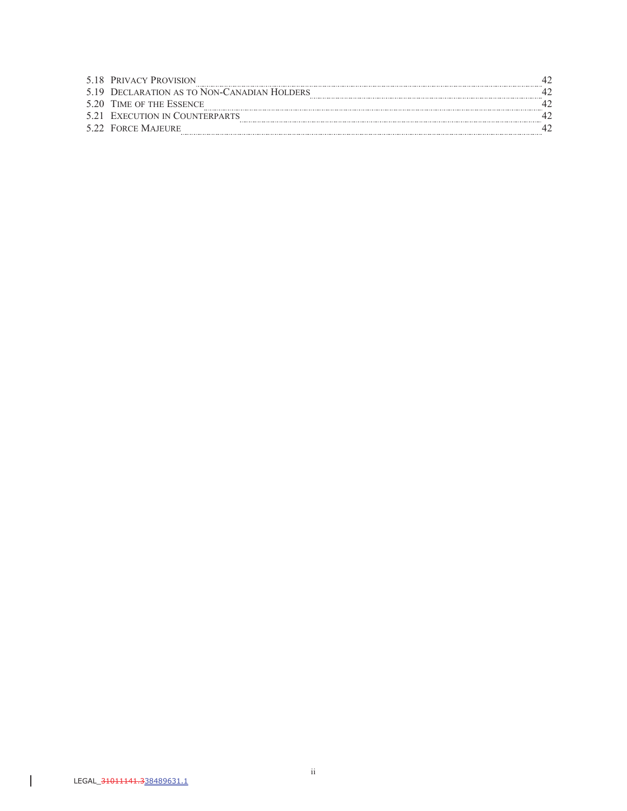|     | 5.18 PRIVACY PROVISION                 |  |
|-----|----------------------------------------|--|
| 519 | DECLARATION AS TO NON-CANADIAN HOLDERS |  |
|     | 5.20 TIME OF THE ESSENCE               |  |
|     | 5.21 EXECUTION IN COUNTERPARTS         |  |
|     | 5.22 FORCE MAJEURE                     |  |

 $\begin{array}{c} \hline \end{array}$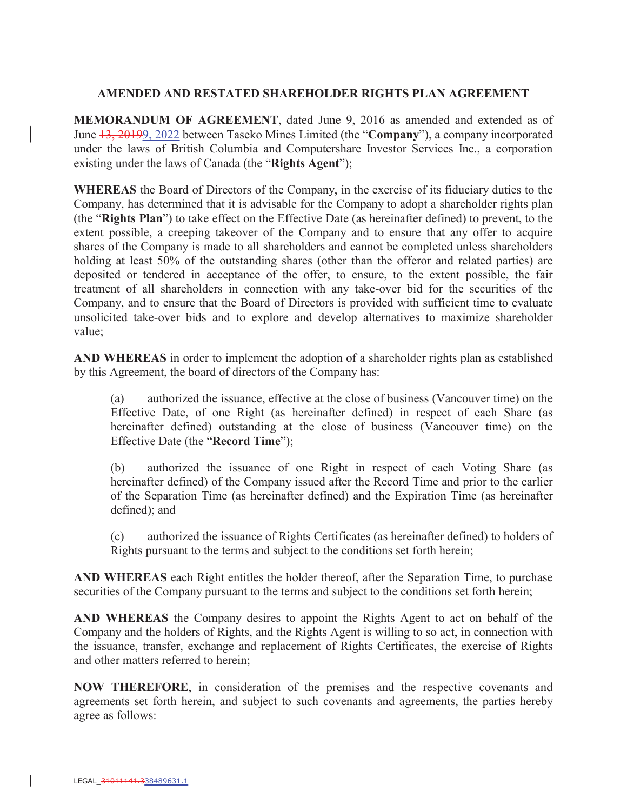### **AMENDED AND RESTATED SHAREHOLDER RIGHTS PLAN AGREEMENT**

**MEMORANDUM OF AGREEMENT**, dated June 9, 2016 as amended and extended as of June 13, 20199, 2022 between Taseko Mines Limited (the "**Company**"), a company incorporated under the laws of British Columbia and Computershare Investor Services Inc., a corporation existing under the laws of Canada (the "**Rights Agent**");

**WHEREAS** the Board of Directors of the Company, in the exercise of its fiduciary duties to the Company, has determined that it is advisable for the Company to adopt a shareholder rights plan (the "**Rights Plan**") to take effect on the Effective Date (as hereinafter defined) to prevent, to the extent possible, a creeping takeover of the Company and to ensure that any offer to acquire shares of the Company is made to all shareholders and cannot be completed unless shareholders holding at least 50% of the outstanding shares (other than the offeror and related parties) are deposited or tendered in acceptance of the offer, to ensure, to the extent possible, the fair treatment of all shareholders in connection with any take-over bid for the securities of the Company, and to ensure that the Board of Directors is provided with sufficient time to evaluate unsolicited take-over bids and to explore and develop alternatives to maximize shareholder value;

**AND WHEREAS** in order to implement the adoption of a shareholder rights plan as established by this Agreement, the board of directors of the Company has:

(a) authorized the issuance, effective at the close of business (Vancouver time) on the Effective Date, of one Right (as hereinafter defined) in respect of each Share (as hereinafter defined) outstanding at the close of business (Vancouver time) on the Effective Date (the "**Record Time**");

(b) authorized the issuance of one Right in respect of each Voting Share (as hereinafter defined) of the Company issued after the Record Time and prior to the earlier of the Separation Time (as hereinafter defined) and the Expiration Time (as hereinafter defined); and

(c) authorized the issuance of Rights Certificates (as hereinafter defined) to holders of Rights pursuant to the terms and subject to the conditions set forth herein;

**AND WHEREAS** each Right entitles the holder thereof, after the Separation Time, to purchase securities of the Company pursuant to the terms and subject to the conditions set forth herein;

**AND WHEREAS** the Company desires to appoint the Rights Agent to act on behalf of the Company and the holders of Rights, and the Rights Agent is willing to so act, in connection with the issuance, transfer, exchange and replacement of Rights Certificates, the exercise of Rights and other matters referred to herein;

**NOW THEREFORE**, in consideration of the premises and the respective covenants and agreements set forth herein, and subject to such covenants and agreements, the parties hereby agree as follows: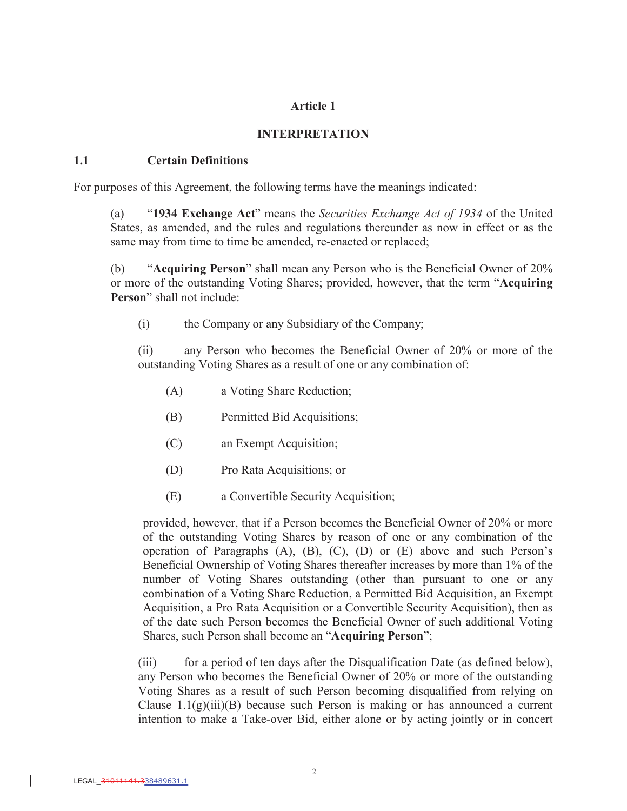### **Article 1**

### **INTERPRETATION**

#### **1.1 Certain Definitions**

For purposes of this Agreement, the following terms have the meanings indicated:

(a) "**1934 Exchange Act**" means the *Securities Exchange Act of 1934* of the United States, as amended, and the rules and regulations thereunder as now in effect or as the same may from time to time be amended, re-enacted or replaced;

(b) "**Acquiring Person**" shall mean any Person who is the Beneficial Owner of 20% or more of the outstanding Voting Shares; provided, however, that the term "**Acquiring Person**" shall not include:

(i) the Company or any Subsidiary of the Company;

(ii) any Person who becomes the Beneficial Owner of 20% or more of the outstanding Voting Shares as a result of one or any combination of:

- (A) a Voting Share Reduction;
- (B) Permitted Bid Acquisitions;
- (C) an Exempt Acquisition;
- (D) Pro Rata Acquisitions; or
- (E) a Convertible Security Acquisition;

provided, however, that if a Person becomes the Beneficial Owner of 20% or more of the outstanding Voting Shares by reason of one or any combination of the operation of Paragraphs (A), (B), (C), (D) or (E) above and such Person's Beneficial Ownership of Voting Shares thereafter increases by more than 1% of the number of Voting Shares outstanding (other than pursuant to one or any combination of a Voting Share Reduction, a Permitted Bid Acquisition, an Exempt Acquisition, a Pro Rata Acquisition or a Convertible Security Acquisition), then as of the date such Person becomes the Beneficial Owner of such additional Voting Shares, such Person shall become an "**Acquiring Person**";

(iii) for a period of ten days after the Disqualification Date (as defined below), any Person who becomes the Beneficial Owner of 20% or more of the outstanding Voting Shares as a result of such Person becoming disqualified from relying on Clause  $1.1(g)(iii)(B)$  because such Person is making or has announced a current intention to make a Take-over Bid, either alone or by acting jointly or in concert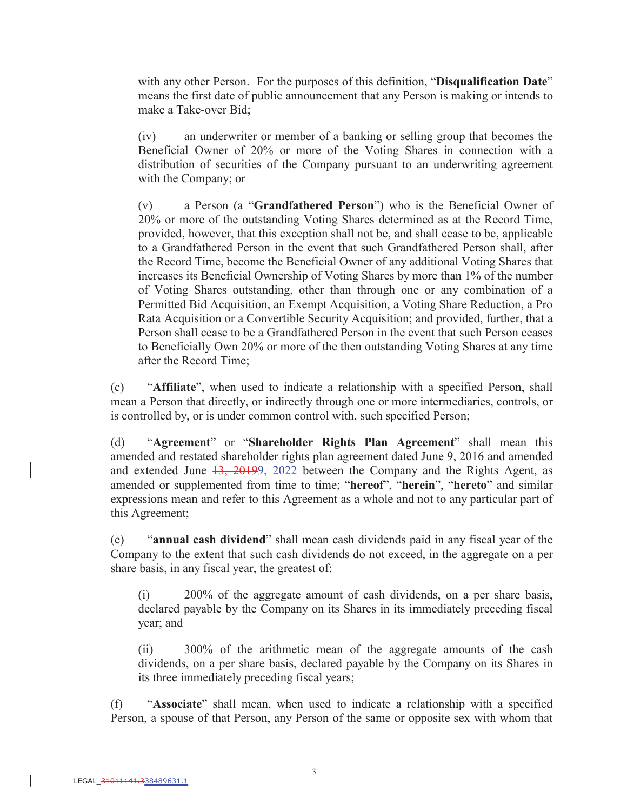with any other Person. For the purposes of this definition, "**Disqualification Date**" means the first date of public announcement that any Person is making or intends to make a Take-over Bid;

(iv) an underwriter or member of a banking or selling group that becomes the Beneficial Owner of 20% or more of the Voting Shares in connection with a distribution of securities of the Company pursuant to an underwriting agreement with the Company; or

(v) a Person (a "**Grandfathered Person**") who is the Beneficial Owner of 20% or more of the outstanding Voting Shares determined as at the Record Time, provided, however, that this exception shall not be, and shall cease to be, applicable to a Grandfathered Person in the event that such Grandfathered Person shall, after the Record Time, become the Beneficial Owner of any additional Voting Shares that increases its Beneficial Ownership of Voting Shares by more than 1% of the number of Voting Shares outstanding, other than through one or any combination of a Permitted Bid Acquisition, an Exempt Acquisition, a Voting Share Reduction, a Pro Rata Acquisition or a Convertible Security Acquisition; and provided, further, that a Person shall cease to be a Grandfathered Person in the event that such Person ceases to Beneficially Own 20% or more of the then outstanding Voting Shares at any time after the Record Time;

(c) "**Affiliate**", when used to indicate a relationship with a specified Person, shall mean a Person that directly, or indirectly through one or more intermediaries, controls, or is controlled by, or is under common control with, such specified Person;

(d) "**Agreement**" or "**Shareholder Rights Plan Agreement**" shall mean this amended and restated shareholder rights plan agreement dated June 9, 2016 and amended and extended June 13, 20199, 2022 between the Company and the Rights Agent, as amended or supplemented from time to time; "**hereof**", "**herein**", "**hereto**" and similar expressions mean and refer to this Agreement as a whole and not to any particular part of this Agreement;

(e) "**annual cash dividend**" shall mean cash dividends paid in any fiscal year of the Company to the extent that such cash dividends do not exceed, in the aggregate on a per share basis, in any fiscal year, the greatest of:

(i) 200% of the aggregate amount of cash dividends, on a per share basis, declared payable by the Company on its Shares in its immediately preceding fiscal year; and

(ii) 300% of the arithmetic mean of the aggregate amounts of the cash dividends, on a per share basis, declared payable by the Company on its Shares in its three immediately preceding fiscal years;

(f) "**Associate**" shall mean, when used to indicate a relationship with a specified Person, a spouse of that Person, any Person of the same or opposite sex with whom that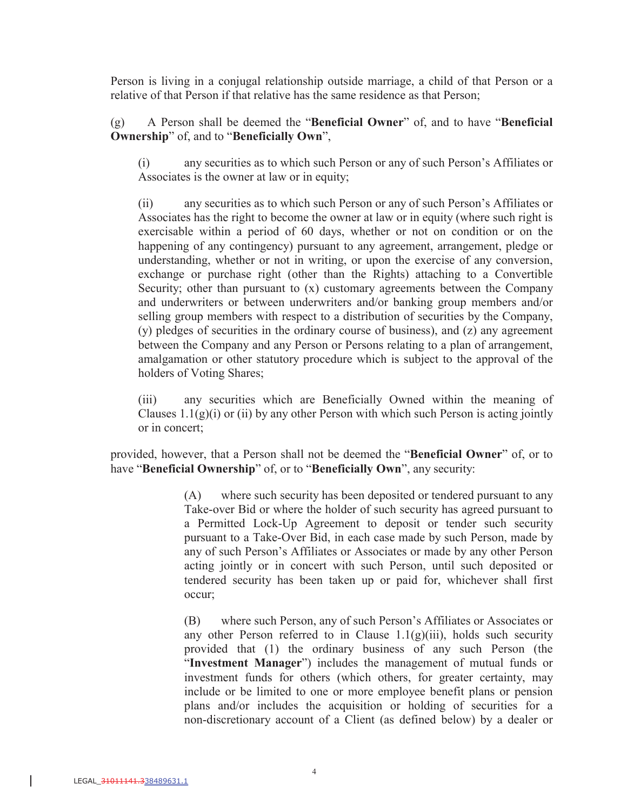Person is living in a conjugal relationship outside marriage, a child of that Person or a relative of that Person if that relative has the same residence as that Person;

(g) A Person shall be deemed the "**Beneficial Owner**" of, and to have "**Beneficial Ownership**" of, and to "**Beneficially Own**",

(i) any securities as to which such Person or any of such Person's Affiliates or Associates is the owner at law or in equity;

(ii) any securities as to which such Person or any of such Person's Affiliates or Associates has the right to become the owner at law or in equity (where such right is exercisable within a period of 60 days, whether or not on condition or on the happening of any contingency) pursuant to any agreement, arrangement, pledge or understanding, whether or not in writing, or upon the exercise of any conversion, exchange or purchase right (other than the Rights) attaching to a Convertible Security; other than pursuant to  $(x)$  customary agreements between the Company and underwriters or between underwriters and/or banking group members and/or selling group members with respect to a distribution of securities by the Company, (y) pledges of securities in the ordinary course of business), and (z) any agreement between the Company and any Person or Persons relating to a plan of arrangement, amalgamation or other statutory procedure which is subject to the approval of the holders of Voting Shares;

(iii) any securities which are Beneficially Owned within the meaning of Clauses  $1.1(g)(i)$  or (ii) by any other Person with which such Person is acting jointly or in concert;

provided, however, that a Person shall not be deemed the "**Beneficial Owner**" of, or to have "**Beneficial Ownership**" of, or to "**Beneficially Own**", any security:

> (A) where such security has been deposited or tendered pursuant to any Take-over Bid or where the holder of such security has agreed pursuant to a Permitted Lock-Up Agreement to deposit or tender such security pursuant to a Take-Over Bid, in each case made by such Person, made by any of such Person's Affiliates or Associates or made by any other Person acting jointly or in concert with such Person, until such deposited or tendered security has been taken up or paid for, whichever shall first occur;

> (B) where such Person, any of such Person's Affiliates or Associates or any other Person referred to in Clause  $1.1(g)(iii)$ , holds such security provided that (1) the ordinary business of any such Person (the "**Investment Manager**") includes the management of mutual funds or investment funds for others (which others, for greater certainty, may include or be limited to one or more employee benefit plans or pension plans and/or includes the acquisition or holding of securities for a non-discretionary account of a Client (as defined below) by a dealer or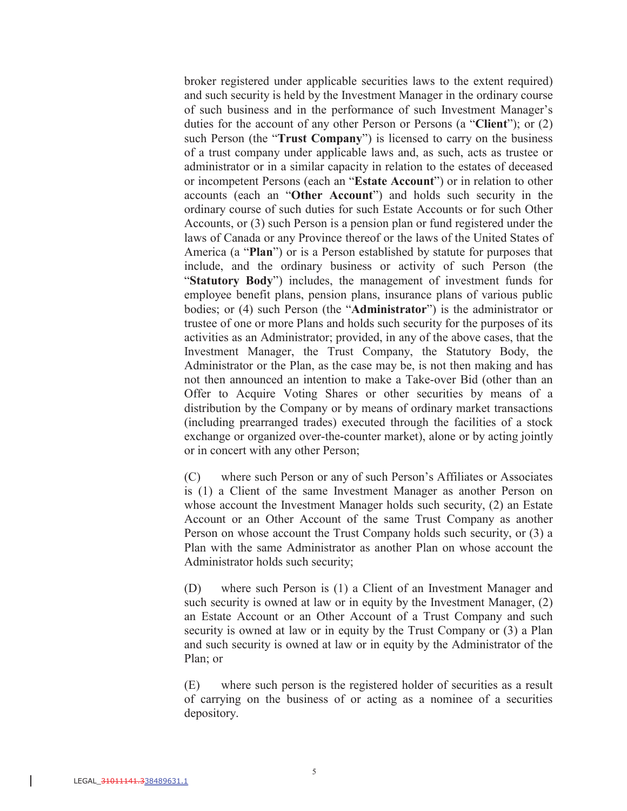broker registered under applicable securities laws to the extent required) and such security is held by the Investment Manager in the ordinary course of such business and in the performance of such Investment Manager's duties for the account of any other Person or Persons (a "**Client**"); or (2) such Person (the "**Trust Company**") is licensed to carry on the business of a trust company under applicable laws and, as such, acts as trustee or administrator or in a similar capacity in relation to the estates of deceased or incompetent Persons (each an "**Estate Account**") or in relation to other accounts (each an "**Other Account**") and holds such security in the ordinary course of such duties for such Estate Accounts or for such Other Accounts, or (3) such Person is a pension plan or fund registered under the laws of Canada or any Province thereof or the laws of the United States of America (a "**Plan**") or is a Person established by statute for purposes that include, and the ordinary business or activity of such Person (the "**Statutory Body**") includes, the management of investment funds for employee benefit plans, pension plans, insurance plans of various public bodies; or (4) such Person (the "**Administrator**") is the administrator or trustee of one or more Plans and holds such security for the purposes of its activities as an Administrator; provided, in any of the above cases, that the Investment Manager, the Trust Company, the Statutory Body, the Administrator or the Plan, as the case may be, is not then making and has not then announced an intention to make a Take-over Bid (other than an Offer to Acquire Voting Shares or other securities by means of a distribution by the Company or by means of ordinary market transactions (including prearranged trades) executed through the facilities of a stock exchange or organized over-the-counter market), alone or by acting jointly or in concert with any other Person;

(C) where such Person or any of such Person's Affiliates or Associates is (1) a Client of the same Investment Manager as another Person on whose account the Investment Manager holds such security, (2) an Estate Account or an Other Account of the same Trust Company as another Person on whose account the Trust Company holds such security, or (3) a Plan with the same Administrator as another Plan on whose account the Administrator holds such security;

(D) where such Person is (1) a Client of an Investment Manager and such security is owned at law or in equity by the Investment Manager, (2) an Estate Account or an Other Account of a Trust Company and such security is owned at law or in equity by the Trust Company or (3) a Plan and such security is owned at law or in equity by the Administrator of the Plan; or

(E) where such person is the registered holder of securities as a result of carrying on the business of or acting as a nominee of a securities depository.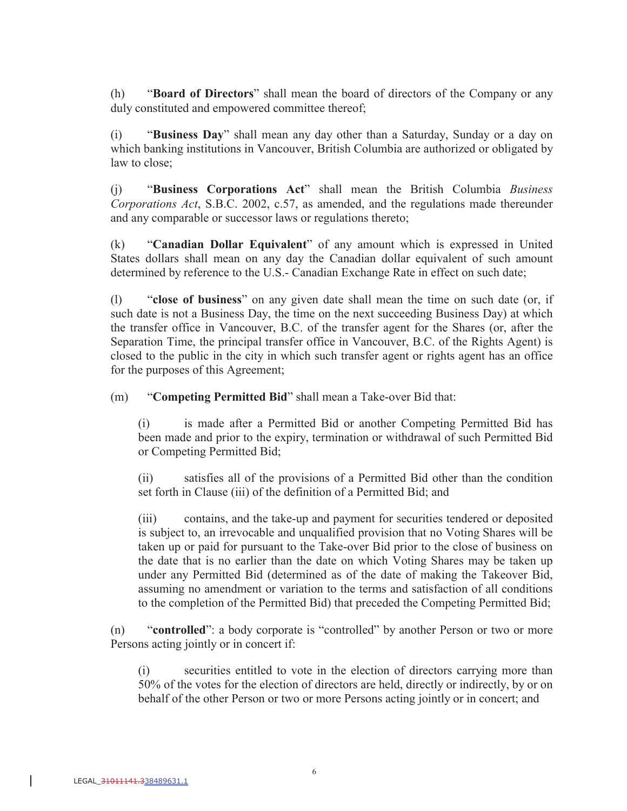(h) "**Board of Directors**" shall mean the board of directors of the Company or any duly constituted and empowered committee thereof;

(i) "**Business Day**" shall mean any day other than a Saturday, Sunday or a day on which banking institutions in Vancouver, British Columbia are authorized or obligated by law to close;

(j) "**Business Corporations Act**" shall mean the British Columbia *Business Corporations Act*, S.B.C. 2002, c.57, as amended, and the regulations made thereunder and any comparable or successor laws or regulations thereto;

(k) "**Canadian Dollar Equivalent**" of any amount which is expressed in United States dollars shall mean on any day the Canadian dollar equivalent of such amount determined by reference to the U.S.- Canadian Exchange Rate in effect on such date;

(l) "**close of business**" on any given date shall mean the time on such date (or, if such date is not a Business Day, the time on the next succeeding Business Day) at which the transfer office in Vancouver, B.C. of the transfer agent for the Shares (or, after the Separation Time, the principal transfer office in Vancouver, B.C. of the Rights Agent) is closed to the public in the city in which such transfer agent or rights agent has an office for the purposes of this Agreement;

(m) "**Competing Permitted Bid**" shall mean a Take-over Bid that:

(i) is made after a Permitted Bid or another Competing Permitted Bid has been made and prior to the expiry, termination or withdrawal of such Permitted Bid or Competing Permitted Bid;

(ii) satisfies all of the provisions of a Permitted Bid other than the condition set forth in Clause (iii) of the definition of a Permitted Bid; and

(iii) contains, and the take-up and payment for securities tendered or deposited is subject to, an irrevocable and unqualified provision that no Voting Shares will be taken up or paid for pursuant to the Take-over Bid prior to the close of business on the date that is no earlier than the date on which Voting Shares may be taken up under any Permitted Bid (determined as of the date of making the Takeover Bid, assuming no amendment or variation to the terms and satisfaction of all conditions to the completion of the Permitted Bid) that preceded the Competing Permitted Bid;

(n) "**controlled**": a body corporate is "controlled" by another Person or two or more Persons acting jointly or in concert if:

(i) securities entitled to vote in the election of directors carrying more than 50% of the votes for the election of directors are held, directly or indirectly, by or on behalf of the other Person or two or more Persons acting jointly or in concert; and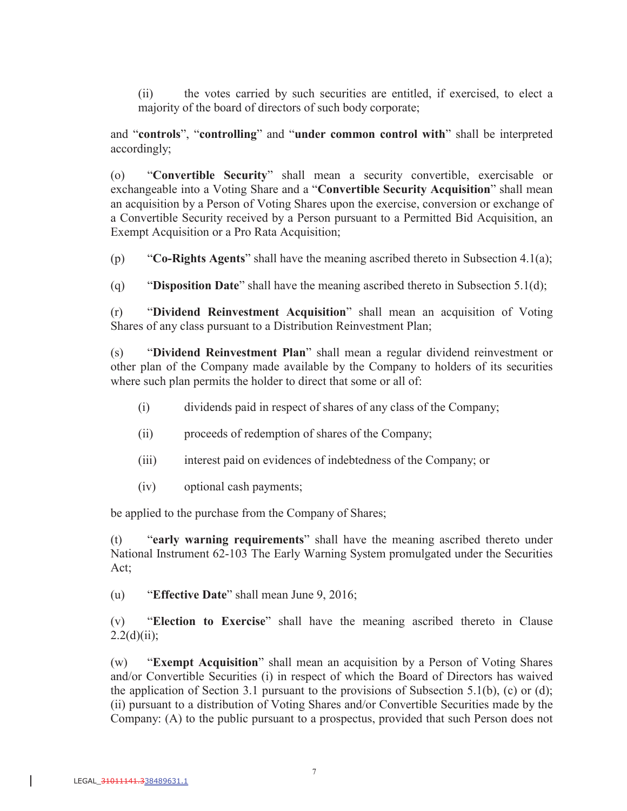(ii) the votes carried by such securities are entitled, if exercised, to elect a majority of the board of directors of such body corporate;

and "**controls**", "**controlling**" and "**under common control with**" shall be interpreted accordingly;

(o) "**Convertible Security**" shall mean a security convertible, exercisable or exchangeable into a Voting Share and a "**Convertible Security Acquisition**" shall mean an acquisition by a Person of Voting Shares upon the exercise, conversion or exchange of a Convertible Security received by a Person pursuant to a Permitted Bid Acquisition, an Exempt Acquisition or a Pro Rata Acquisition;

(p) "**Co-Rights Agents**" shall have the meaning ascribed thereto in Subsection 4.1(a);

(q) "**Disposition Date**" shall have the meaning ascribed thereto in Subsection 5.1(d);

(r) "**Dividend Reinvestment Acquisition**" shall mean an acquisition of Voting Shares of any class pursuant to a Distribution Reinvestment Plan;

(s) "**Dividend Reinvestment Plan**" shall mean a regular dividend reinvestment or other plan of the Company made available by the Company to holders of its securities where such plan permits the holder to direct that some or all of:

- (i) dividends paid in respect of shares of any class of the Company;
- (ii) proceeds of redemption of shares of the Company;
- (iii) interest paid on evidences of indebtedness of the Company; or
- (iv) optional cash payments;

be applied to the purchase from the Company of Shares;

(t) "**early warning requirements**" shall have the meaning ascribed thereto under National Instrument 62-103 The Early Warning System promulgated under the Securities Act;

(u) "**Effective Date**" shall mean June 9, 2016;

(v) "**Election to Exercise**" shall have the meaning ascribed thereto in Clause  $2.2(d)(ii);$ 

(w) "**Exempt Acquisition**" shall mean an acquisition by a Person of Voting Shares and/or Convertible Securities (i) in respect of which the Board of Directors has waived the application of Section 3.1 pursuant to the provisions of Subsection 5.1(b), (c) or (d); (ii) pursuant to a distribution of Voting Shares and/or Convertible Securities made by the Company: (A) to the public pursuant to a prospectus, provided that such Person does not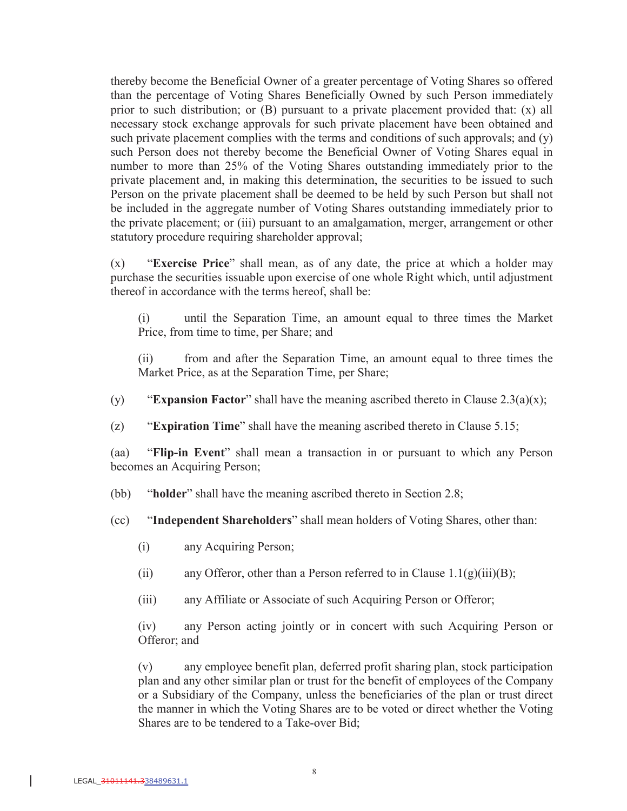thereby become the Beneficial Owner of a greater percentage of Voting Shares so offered than the percentage of Voting Shares Beneficially Owned by such Person immediately prior to such distribution; or (B) pursuant to a private placement provided that: (x) all necessary stock exchange approvals for such private placement have been obtained and such private placement complies with the terms and conditions of such approvals; and (y) such Person does not thereby become the Beneficial Owner of Voting Shares equal in number to more than 25% of the Voting Shares outstanding immediately prior to the private placement and, in making this determination, the securities to be issued to such Person on the private placement shall be deemed to be held by such Person but shall not be included in the aggregate number of Voting Shares outstanding immediately prior to the private placement; or (iii) pursuant to an amalgamation, merger, arrangement or other statutory procedure requiring shareholder approval;

(x) "**Exercise Price**" shall mean, as of any date, the price at which a holder may purchase the securities issuable upon exercise of one whole Right which, until adjustment thereof in accordance with the terms hereof, shall be:

(i) until the Separation Time, an amount equal to three times the Market Price, from time to time, per Share; and

(ii) from and after the Separation Time, an amount equal to three times the Market Price, as at the Separation Time, per Share;

(y) "**Expansion Factor**" shall have the meaning ascribed thereto in Clause 2.3(a)(x);

(z) "**Expiration Time**" shall have the meaning ascribed thereto in Clause 5.15;

(aa) "**Flip-in Event**" shall mean a transaction in or pursuant to which any Person becomes an Acquiring Person;

(bb) "**holder**" shall have the meaning ascribed thereto in Section 2.8;

(cc) "**Independent Shareholders**" shall mean holders of Voting Shares, other than:

- (i) any Acquiring Person;
- (ii) any Offeror, other than a Person referred to in Clause  $1.1(g)(iii)(B)$ ;
- (iii) any Affiliate or Associate of such Acquiring Person or Offeror;

(iv) any Person acting jointly or in concert with such Acquiring Person or Offeror; and

(v) any employee benefit plan, deferred profit sharing plan, stock participation plan and any other similar plan or trust for the benefit of employees of the Company or a Subsidiary of the Company, unless the beneficiaries of the plan or trust direct the manner in which the Voting Shares are to be voted or direct whether the Voting Shares are to be tendered to a Take-over Bid;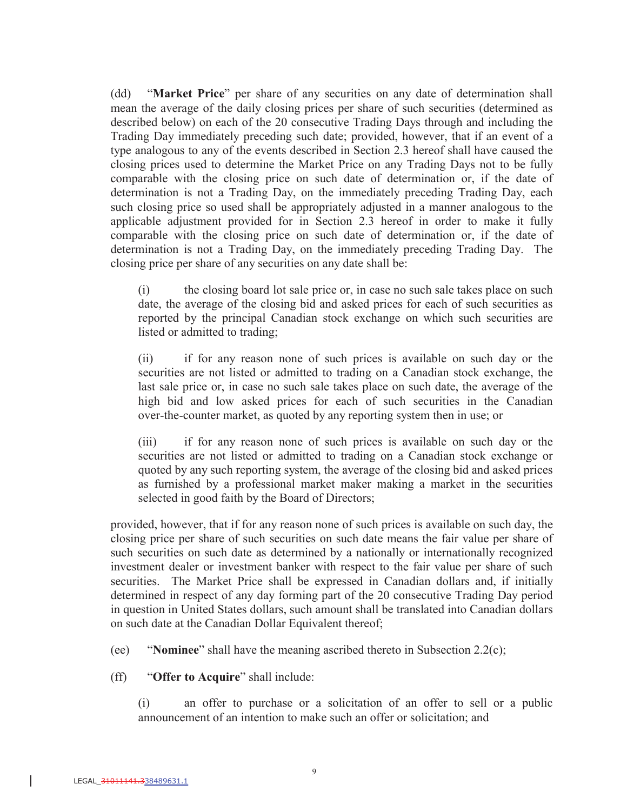(dd) "**Market Price**" per share of any securities on any date of determination shall mean the average of the daily closing prices per share of such securities (determined as described below) on each of the 20 consecutive Trading Days through and including the Trading Day immediately preceding such date; provided, however, that if an event of a type analogous to any of the events described in Section 2.3 hereof shall have caused the closing prices used to determine the Market Price on any Trading Days not to be fully comparable with the closing price on such date of determination or, if the date of determination is not a Trading Day, on the immediately preceding Trading Day, each such closing price so used shall be appropriately adjusted in a manner analogous to the applicable adjustment provided for in Section 2.3 hereof in order to make it fully comparable with the closing price on such date of determination or, if the date of determination is not a Trading Day, on the immediately preceding Trading Day. The closing price per share of any securities on any date shall be:

(i) the closing board lot sale price or, in case no such sale takes place on such date, the average of the closing bid and asked prices for each of such securities as reported by the principal Canadian stock exchange on which such securities are listed or admitted to trading;

(ii) if for any reason none of such prices is available on such day or the securities are not listed or admitted to trading on a Canadian stock exchange, the last sale price or, in case no such sale takes place on such date, the average of the high bid and low asked prices for each of such securities in the Canadian over-the-counter market, as quoted by any reporting system then in use; or

(iii) if for any reason none of such prices is available on such day or the securities are not listed or admitted to trading on a Canadian stock exchange or quoted by any such reporting system, the average of the closing bid and asked prices as furnished by a professional market maker making a market in the securities selected in good faith by the Board of Directors;

provided, however, that if for any reason none of such prices is available on such day, the closing price per share of such securities on such date means the fair value per share of such securities on such date as determined by a nationally or internationally recognized investment dealer or investment banker with respect to the fair value per share of such securities. The Market Price shall be expressed in Canadian dollars and, if initially determined in respect of any day forming part of the 20 consecutive Trading Day period in question in United States dollars, such amount shall be translated into Canadian dollars on such date at the Canadian Dollar Equivalent thereof;

(ee) "**Nominee**" shall have the meaning ascribed thereto in Subsection 2.2(c);

(ff) "**Offer to Acquire**" shall include:

(i) an offer to purchase or a solicitation of an offer to sell or a public announcement of an intention to make such an offer or solicitation; and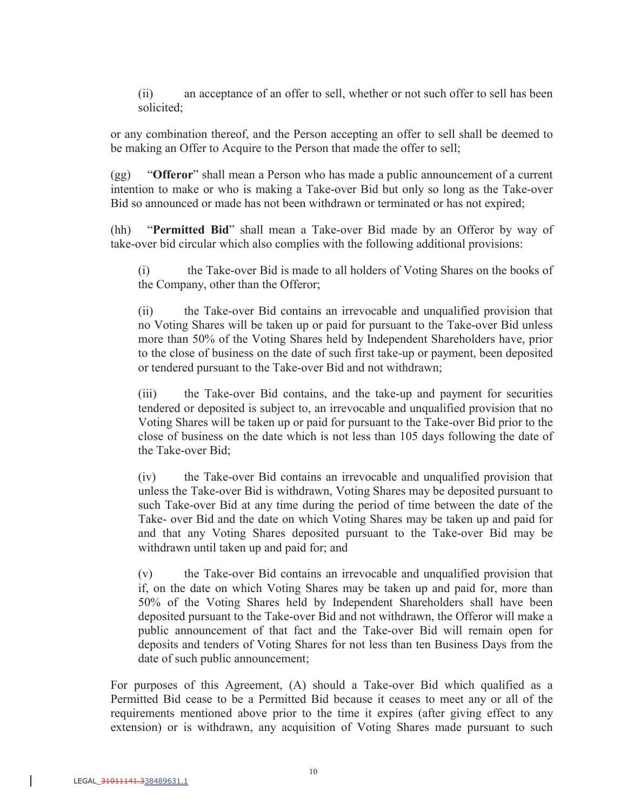(ii) an acceptance of an offer to sell, whether or not such offer to sell has been solicited;

or any combination thereof, and the Person accepting an offer to sell shall be deemed to be making an Offer to Acquire to the Person that made the offer to sell;

(gg) "**Offeror**" shall mean a Person who has made a public announcement of a current intention to make or who is making a Take-over Bid but only so long as the Take-over Bid so announced or made has not been withdrawn or terminated or has not expired;

(hh) "**Permitted Bid**" shall mean a Take-over Bid made by an Offeror by way of take-over bid circular which also complies with the following additional provisions:

(i) the Take-over Bid is made to all holders of Voting Shares on the books of the Company, other than the Offeror;

(ii) the Take-over Bid contains an irrevocable and unqualified provision that no Voting Shares will be taken up or paid for pursuant to the Take-over Bid unless more than 50% of the Voting Shares held by Independent Shareholders have, prior to the close of business on the date of such first take-up or payment, been deposited or tendered pursuant to the Take-over Bid and not withdrawn;

(iii) the Take-over Bid contains, and the take-up and payment for securities tendered or deposited is subject to, an irrevocable and unqualified provision that no Voting Shares will be taken up or paid for pursuant to the Take-over Bid prior to the close of business on the date which is not less than 105 days following the date of the Take-over Bid;

(iv) the Take-over Bid contains an irrevocable and unqualified provision that unless the Take-over Bid is withdrawn, Voting Shares may be deposited pursuant to such Take-over Bid at any time during the period of time between the date of the Take- over Bid and the date on which Voting Shares may be taken up and paid for and that any Voting Shares deposited pursuant to the Take-over Bid may be withdrawn until taken up and paid for; and

(v) the Take-over Bid contains an irrevocable and unqualified provision that if, on the date on which Voting Shares may be taken up and paid for, more than 50% of the Voting Shares held by Independent Shareholders shall have been deposited pursuant to the Take-over Bid and not withdrawn, the Offeror will make a public announcement of that fact and the Take-over Bid will remain open for deposits and tenders of Voting Shares for not less than ten Business Days from the date of such public announcement;

For purposes of this Agreement, (A) should a Take-over Bid which qualified as a Permitted Bid cease to be a Permitted Bid because it ceases to meet any or all of the requirements mentioned above prior to the time it expires (after giving effect to any extension) or is withdrawn, any acquisition of Voting Shares made pursuant to such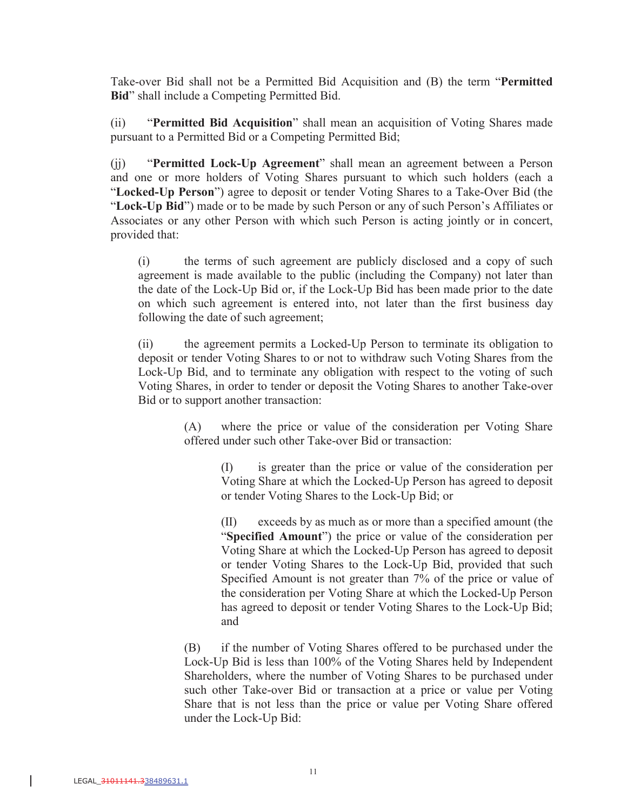Take-over Bid shall not be a Permitted Bid Acquisition and (B) the term "**Permitted Bid**" shall include a Competing Permitted Bid.

(ii) "**Permitted Bid Acquisition**" shall mean an acquisition of Voting Shares made pursuant to a Permitted Bid or a Competing Permitted Bid;

(jj) "**Permitted Lock-Up Agreement**" shall mean an agreement between a Person and one or more holders of Voting Shares pursuant to which such holders (each a "**Locked-Up Person**") agree to deposit or tender Voting Shares to a Take-Over Bid (the "**Lock-Up Bid**") made or to be made by such Person or any of such Person's Affiliates or Associates or any other Person with which such Person is acting jointly or in concert, provided that:

(i) the terms of such agreement are publicly disclosed and a copy of such agreement is made available to the public (including the Company) not later than the date of the Lock-Up Bid or, if the Lock-Up Bid has been made prior to the date on which such agreement is entered into, not later than the first business day following the date of such agreement;

(ii) the agreement permits a Locked-Up Person to terminate its obligation to deposit or tender Voting Shares to or not to withdraw such Voting Shares from the Lock-Up Bid, and to terminate any obligation with respect to the voting of such Voting Shares, in order to tender or deposit the Voting Shares to another Take-over Bid or to support another transaction:

> (A) where the price or value of the consideration per Voting Share offered under such other Take-over Bid or transaction:

> > (I) is greater than the price or value of the consideration per Voting Share at which the Locked-Up Person has agreed to deposit or tender Voting Shares to the Lock-Up Bid; or

> > (II) exceeds by as much as or more than a specified amount (the "**Specified Amount**") the price or value of the consideration per Voting Share at which the Locked-Up Person has agreed to deposit or tender Voting Shares to the Lock-Up Bid, provided that such Specified Amount is not greater than 7% of the price or value of the consideration per Voting Share at which the Locked-Up Person has agreed to deposit or tender Voting Shares to the Lock-Up Bid; and

(B) if the number of Voting Shares offered to be purchased under the Lock-Up Bid is less than 100% of the Voting Shares held by Independent Shareholders, where the number of Voting Shares to be purchased under such other Take-over Bid or transaction at a price or value per Voting Share that is not less than the price or value per Voting Share offered under the Lock-Up Bid: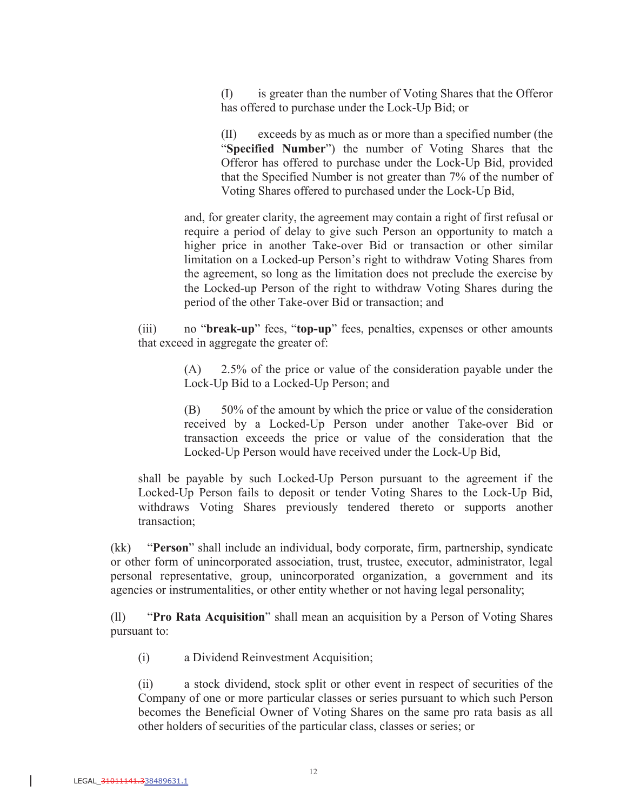(I) is greater than the number of Voting Shares that the Offeror has offered to purchase under the Lock-Up Bid; or

(II) exceeds by as much as or more than a specified number (the "**Specified Number**") the number of Voting Shares that the Offeror has offered to purchase under the Lock-Up Bid, provided that the Specified Number is not greater than 7% of the number of Voting Shares offered to purchased under the Lock-Up Bid,

and, for greater clarity, the agreement may contain a right of first refusal or require a period of delay to give such Person an opportunity to match a higher price in another Take-over Bid or transaction or other similar limitation on a Locked-up Person's right to withdraw Voting Shares from the agreement, so long as the limitation does not preclude the exercise by the Locked-up Person of the right to withdraw Voting Shares during the period of the other Take-over Bid or transaction; and

(iii) no "**break-up**" fees, "**top-up**" fees, penalties, expenses or other amounts that exceed in aggregate the greater of:

> (A) 2.5% of the price or value of the consideration payable under the Lock-Up Bid to a Locked-Up Person; and

> (B) 50% of the amount by which the price or value of the consideration received by a Locked-Up Person under another Take-over Bid or transaction exceeds the price or value of the consideration that the Locked-Up Person would have received under the Lock-Up Bid,

shall be payable by such Locked-Up Person pursuant to the agreement if the Locked-Up Person fails to deposit or tender Voting Shares to the Lock-Up Bid, withdraws Voting Shares previously tendered thereto or supports another transaction;

(kk) "**Person**" shall include an individual, body corporate, firm, partnership, syndicate or other form of unincorporated association, trust, trustee, executor, administrator, legal personal representative, group, unincorporated organization, a government and its agencies or instrumentalities, or other entity whether or not having legal personality;

(ll) "**Pro Rata Acquisition**" shall mean an acquisition by a Person of Voting Shares pursuant to:

(i) a Dividend Reinvestment Acquisition;

(ii) a stock dividend, stock split or other event in respect of securities of the Company of one or more particular classes or series pursuant to which such Person becomes the Beneficial Owner of Voting Shares on the same pro rata basis as all other holders of securities of the particular class, classes or series; or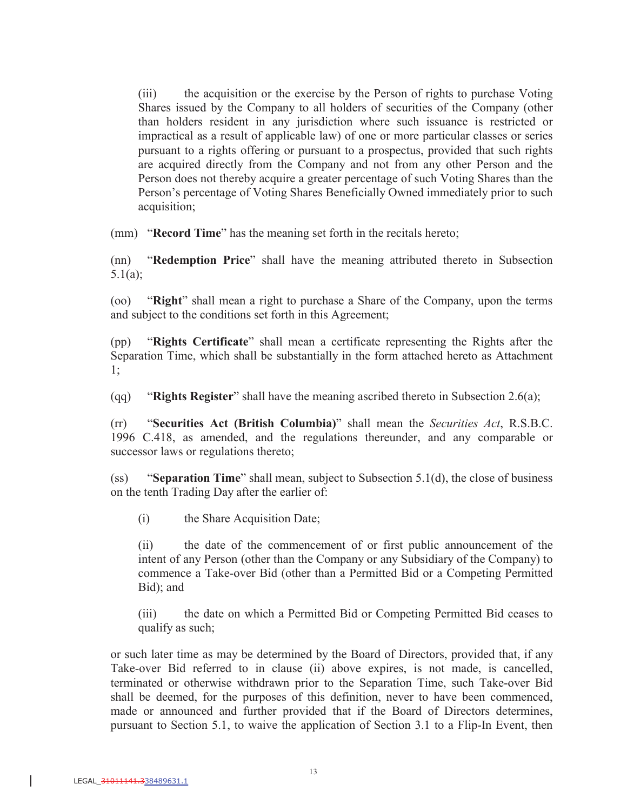(iii) the acquisition or the exercise by the Person of rights to purchase Voting Shares issued by the Company to all holders of securities of the Company (other than holders resident in any jurisdiction where such issuance is restricted or impractical as a result of applicable law) of one or more particular classes or series pursuant to a rights offering or pursuant to a prospectus, provided that such rights are acquired directly from the Company and not from any other Person and the Person does not thereby acquire a greater percentage of such Voting Shares than the Person's percentage of Voting Shares Beneficially Owned immediately prior to such acquisition;

(mm) "**Record Time**" has the meaning set forth in the recitals hereto;

(nn) "**Redemption Price**" shall have the meaning attributed thereto in Subsection 5.1(a);

(oo) "**Right**" shall mean a right to purchase a Share of the Company, upon the terms and subject to the conditions set forth in this Agreement;

(pp) "**Rights Certificate**" shall mean a certificate representing the Rights after the Separation Time, which shall be substantially in the form attached hereto as Attachment 1;

(qq) "**Rights Register**" shall have the meaning ascribed thereto in Subsection 2.6(a);

(rr) "**Securities Act (British Columbia)**" shall mean the *Securities Act*, R.S.B.C. 1996 C.418, as amended, and the regulations thereunder, and any comparable or successor laws or regulations thereto;

(ss) "**Separation Time**" shall mean, subject to Subsection 5.1(d), the close of business on the tenth Trading Day after the earlier of:

(i) the Share Acquisition Date;

(ii) the date of the commencement of or first public announcement of the intent of any Person (other than the Company or any Subsidiary of the Company) to commence a Take-over Bid (other than a Permitted Bid or a Competing Permitted Bid); and

(iii) the date on which a Permitted Bid or Competing Permitted Bid ceases to qualify as such;

or such later time as may be determined by the Board of Directors, provided that, if any Take-over Bid referred to in clause (ii) above expires, is not made, is cancelled, terminated or otherwise withdrawn prior to the Separation Time, such Take-over Bid shall be deemed, for the purposes of this definition, never to have been commenced, made or announced and further provided that if the Board of Directors determines, pursuant to Section 5.1, to waive the application of Section 3.1 to a Flip-In Event, then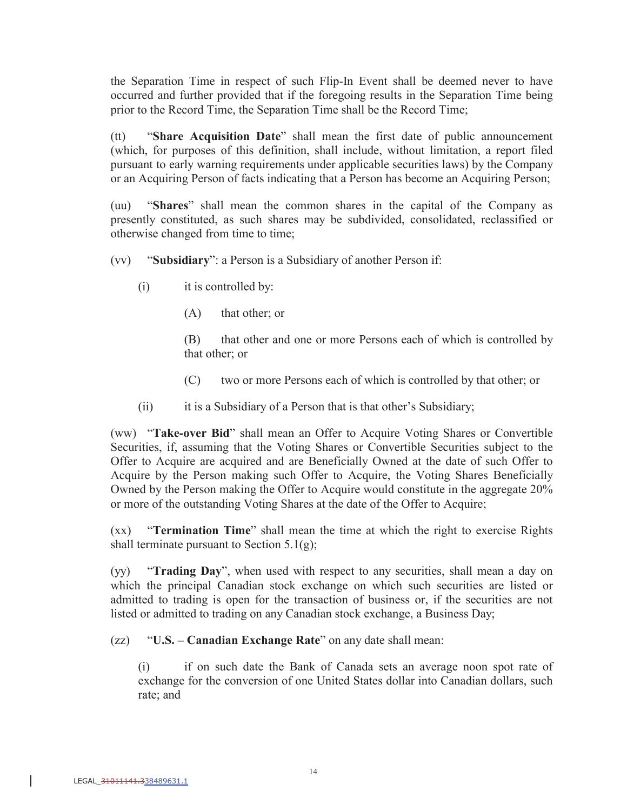the Separation Time in respect of such Flip-In Event shall be deemed never to have occurred and further provided that if the foregoing results in the Separation Time being prior to the Record Time, the Separation Time shall be the Record Time;

(tt) "**Share Acquisition Date**" shall mean the first date of public announcement (which, for purposes of this definition, shall include, without limitation, a report filed pursuant to early warning requirements under applicable securities laws) by the Company or an Acquiring Person of facts indicating that a Person has become an Acquiring Person;

(uu) "**Shares**" shall mean the common shares in the capital of the Company as presently constituted, as such shares may be subdivided, consolidated, reclassified or otherwise changed from time to time;

- (vv) "**Subsidiary**": a Person is a Subsidiary of another Person if:
	- (i) it is controlled by:
		- (A) that other; or

(B) that other and one or more Persons each of which is controlled by that other; or

- (C) two or more Persons each of which is controlled by that other; or
- (ii) it is a Subsidiary of a Person that is that other's Subsidiary;

(ww) "**Take-over Bid**" shall mean an Offer to Acquire Voting Shares or Convertible Securities, if, assuming that the Voting Shares or Convertible Securities subject to the Offer to Acquire are acquired and are Beneficially Owned at the date of such Offer to Acquire by the Person making such Offer to Acquire, the Voting Shares Beneficially Owned by the Person making the Offer to Acquire would constitute in the aggregate 20% or more of the outstanding Voting Shares at the date of the Offer to Acquire;

(xx) "**Termination Time**" shall mean the time at which the right to exercise Rights shall terminate pursuant to Section  $5.1(g)$ ;

(yy) "**Trading Day**", when used with respect to any securities, shall mean a day on which the principal Canadian stock exchange on which such securities are listed or admitted to trading is open for the transaction of business or, if the securities are not listed or admitted to trading on any Canadian stock exchange, a Business Day;

(zz) "**U.S. – Canadian Exchange Rate**" on any date shall mean:

(i) if on such date the Bank of Canada sets an average noon spot rate of exchange for the conversion of one United States dollar into Canadian dollars, such rate; and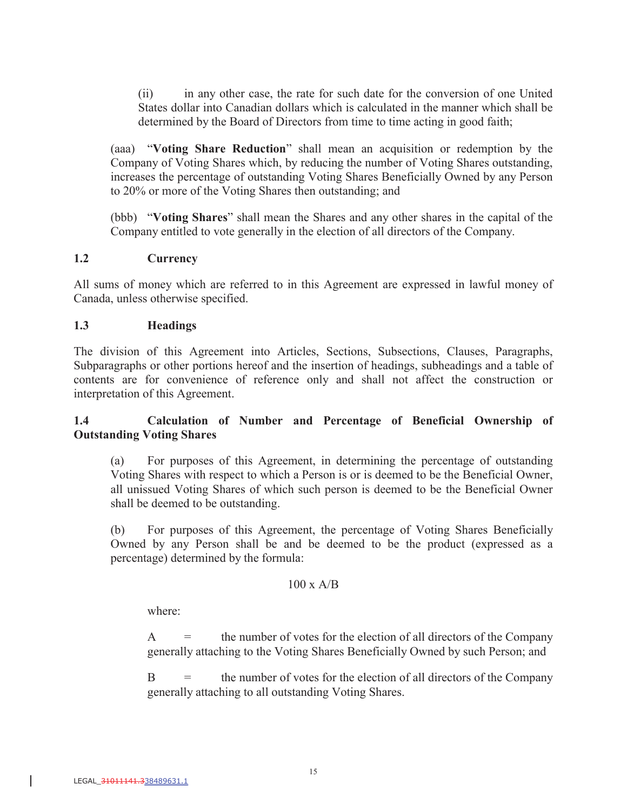(ii) in any other case, the rate for such date for the conversion of one United States dollar into Canadian dollars which is calculated in the manner which shall be determined by the Board of Directors from time to time acting in good faith;

(aaa) "**Voting Share Reduction**" shall mean an acquisition or redemption by the Company of Voting Shares which, by reducing the number of Voting Shares outstanding, increases the percentage of outstanding Voting Shares Beneficially Owned by any Person to 20% or more of the Voting Shares then outstanding; and

(bbb) "**Voting Shares**" shall mean the Shares and any other shares in the capital of the Company entitled to vote generally in the election of all directors of the Company.

### **1.2 Currency**

All sums of money which are referred to in this Agreement are expressed in lawful money of Canada, unless otherwise specified.

### **1.3 Headings**

The division of this Agreement into Articles, Sections, Subsections, Clauses, Paragraphs, Subparagraphs or other portions hereof and the insertion of headings, subheadings and a table of contents are for convenience of reference only and shall not affect the construction or interpretation of this Agreement.

### **1.4 Calculation of Number and Percentage of Beneficial Ownership of Outstanding Voting Shares**

(a) For purposes of this Agreement, in determining the percentage of outstanding Voting Shares with respect to which a Person is or is deemed to be the Beneficial Owner, all unissued Voting Shares of which such person is deemed to be the Beneficial Owner shall be deemed to be outstanding.

(b) For purposes of this Agreement, the percentage of Voting Shares Beneficially Owned by any Person shall be and be deemed to be the product (expressed as a percentage) determined by the formula:

### $100 \times A/B$

where:

 $A =$  the number of votes for the election of all directors of the Company generally attaching to the Voting Shares Beneficially Owned by such Person; and

B = the number of votes for the election of all directors of the Company generally attaching to all outstanding Voting Shares.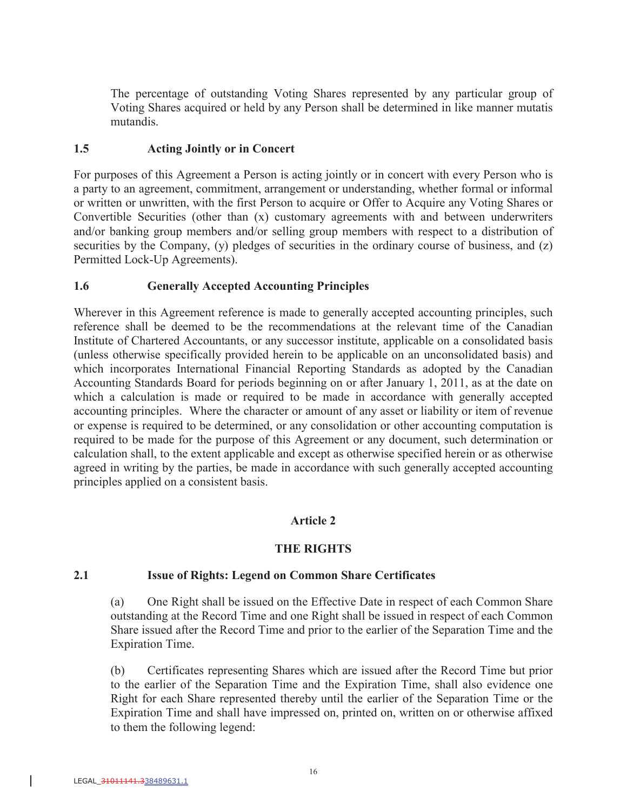The percentage of outstanding Voting Shares represented by any particular group of Voting Shares acquired or held by any Person shall be determined in like manner mutatis mutandis.

### **1.5 Acting Jointly or in Concert**

For purposes of this Agreement a Person is acting jointly or in concert with every Person who is a party to an agreement, commitment, arrangement or understanding, whether formal or informal or written or unwritten, with the first Person to acquire or Offer to Acquire any Voting Shares or Convertible Securities (other than (x) customary agreements with and between underwriters and/or banking group members and/or selling group members with respect to a distribution of securities by the Company, (y) pledges of securities in the ordinary course of business, and (z) Permitted Lock-Up Agreements).

### **1.6 Generally Accepted Accounting Principles**

Wherever in this Agreement reference is made to generally accepted accounting principles, such reference shall be deemed to be the recommendations at the relevant time of the Canadian Institute of Chartered Accountants, or any successor institute, applicable on a consolidated basis (unless otherwise specifically provided herein to be applicable on an unconsolidated basis) and which incorporates International Financial Reporting Standards as adopted by the Canadian Accounting Standards Board for periods beginning on or after January 1, 2011, as at the date on which a calculation is made or required to be made in accordance with generally accepted accounting principles. Where the character or amount of any asset or liability or item of revenue or expense is required to be determined, or any consolidation or other accounting computation is required to be made for the purpose of this Agreement or any document, such determination or calculation shall, to the extent applicable and except as otherwise specified herein or as otherwise agreed in writing by the parties, be made in accordance with such generally accepted accounting principles applied on a consistent basis.

# **Article 2**

# **THE RIGHTS**

### **2.1 Issue of Rights: Legend on Common Share Certificates**

(a) One Right shall be issued on the Effective Date in respect of each Common Share outstanding at the Record Time and one Right shall be issued in respect of each Common Share issued after the Record Time and prior to the earlier of the Separation Time and the Expiration Time.

(b) Certificates representing Shares which are issued after the Record Time but prior to the earlier of the Separation Time and the Expiration Time, shall also evidence one Right for each Share represented thereby until the earlier of the Separation Time or the Expiration Time and shall have impressed on, printed on, written on or otherwise affixed to them the following legend: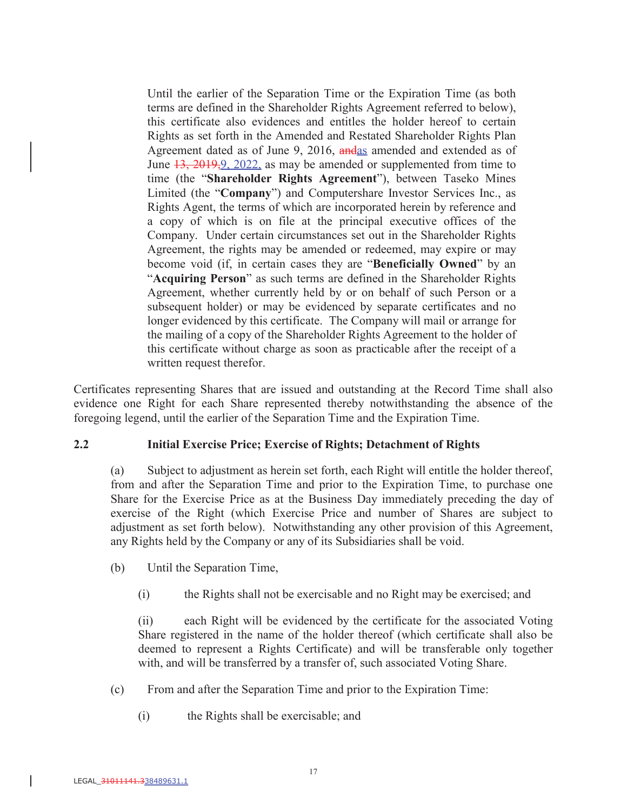Until the earlier of the Separation Time or the Expiration Time (as both terms are defined in the Shareholder Rights Agreement referred to below), this certificate also evidences and entitles the holder hereof to certain Rights as set forth in the Amended and Restated Shareholder Rights Plan Agreement dated as of June 9, 2016, andas amended and extended as of June  $13, 2019, 9, 2022$ , as may be amended or supplemented from time to time (the "**Shareholder Rights Agreement**"), between Taseko Mines Limited (the "**Company**") and Computershare Investor Services Inc., as Rights Agent, the terms of which are incorporated herein by reference and a copy of which is on file at the principal executive offices of the Company. Under certain circumstances set out in the Shareholder Rights Agreement, the rights may be amended or redeemed, may expire or may become void (if, in certain cases they are "**Beneficially Owned**" by an "**Acquiring Person**" as such terms are defined in the Shareholder Rights Agreement, whether currently held by or on behalf of such Person or a subsequent holder) or may be evidenced by separate certificates and no longer evidenced by this certificate. The Company will mail or arrange for the mailing of a copy of the Shareholder Rights Agreement to the holder of this certificate without charge as soon as practicable after the receipt of a written request therefor.

Certificates representing Shares that are issued and outstanding at the Record Time shall also evidence one Right for each Share represented thereby notwithstanding the absence of the foregoing legend, until the earlier of the Separation Time and the Expiration Time.

### **2.2 Initial Exercise Price; Exercise of Rights; Detachment of Rights**

(a) Subject to adjustment as herein set forth, each Right will entitle the holder thereof, from and after the Separation Time and prior to the Expiration Time, to purchase one Share for the Exercise Price as at the Business Day immediately preceding the day of exercise of the Right (which Exercise Price and number of Shares are subject to adjustment as set forth below). Notwithstanding any other provision of this Agreement, any Rights held by the Company or any of its Subsidiaries shall be void.

- (b) Until the Separation Time,
	- (i) the Rights shall not be exercisable and no Right may be exercised; and

(ii) each Right will be evidenced by the certificate for the associated Voting Share registered in the name of the holder thereof (which certificate shall also be deemed to represent a Rights Certificate) and will be transferable only together with, and will be transferred by a transfer of, such associated Voting Share.

- (c) From and after the Separation Time and prior to the Expiration Time:
	- (i) the Rights shall be exercisable; and

 $\overline{\phantom{a}}$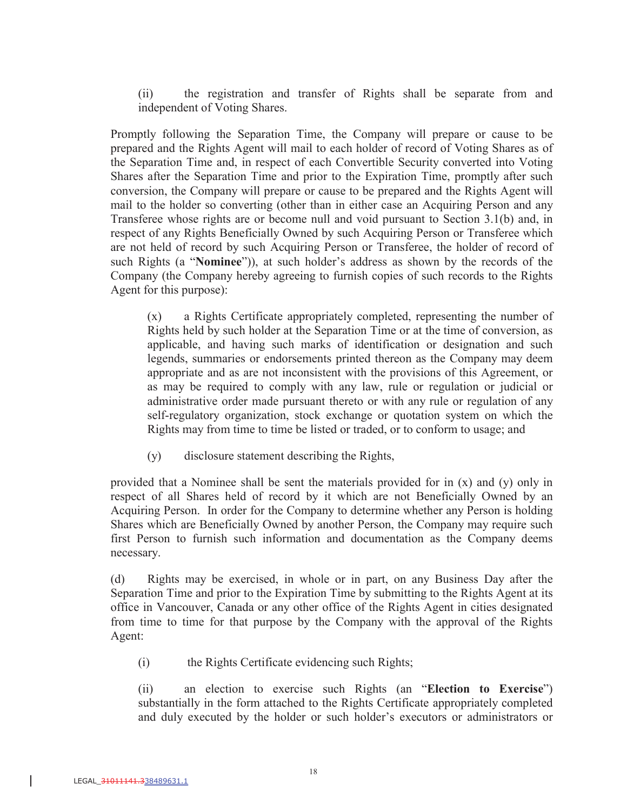(ii) the registration and transfer of Rights shall be separate from and independent of Voting Shares.

Promptly following the Separation Time, the Company will prepare or cause to be prepared and the Rights Agent will mail to each holder of record of Voting Shares as of the Separation Time and, in respect of each Convertible Security converted into Voting Shares after the Separation Time and prior to the Expiration Time, promptly after such conversion, the Company will prepare or cause to be prepared and the Rights Agent will mail to the holder so converting (other than in either case an Acquiring Person and any Transferee whose rights are or become null and void pursuant to Section 3.1(b) and, in respect of any Rights Beneficially Owned by such Acquiring Person or Transferee which are not held of record by such Acquiring Person or Transferee, the holder of record of such Rights (a "**Nominee**")), at such holder's address as shown by the records of the Company (the Company hereby agreeing to furnish copies of such records to the Rights Agent for this purpose):

(x) a Rights Certificate appropriately completed, representing the number of Rights held by such holder at the Separation Time or at the time of conversion, as applicable, and having such marks of identification or designation and such legends, summaries or endorsements printed thereon as the Company may deem appropriate and as are not inconsistent with the provisions of this Agreement, or as may be required to comply with any law, rule or regulation or judicial or administrative order made pursuant thereto or with any rule or regulation of any self-regulatory organization, stock exchange or quotation system on which the Rights may from time to time be listed or traded, or to conform to usage; and

(y) disclosure statement describing the Rights,

provided that a Nominee shall be sent the materials provided for in (x) and (y) only in respect of all Shares held of record by it which are not Beneficially Owned by an Acquiring Person. In order for the Company to determine whether any Person is holding Shares which are Beneficially Owned by another Person, the Company may require such first Person to furnish such information and documentation as the Company deems necessary.

(d) Rights may be exercised, in whole or in part, on any Business Day after the Separation Time and prior to the Expiration Time by submitting to the Rights Agent at its office in Vancouver, Canada or any other office of the Rights Agent in cities designated from time to time for that purpose by the Company with the approval of the Rights Agent:

(i) the Rights Certificate evidencing such Rights;

(ii) an election to exercise such Rights (an "**Election to Exercise**") substantially in the form attached to the Rights Certificate appropriately completed and duly executed by the holder or such holder's executors or administrators or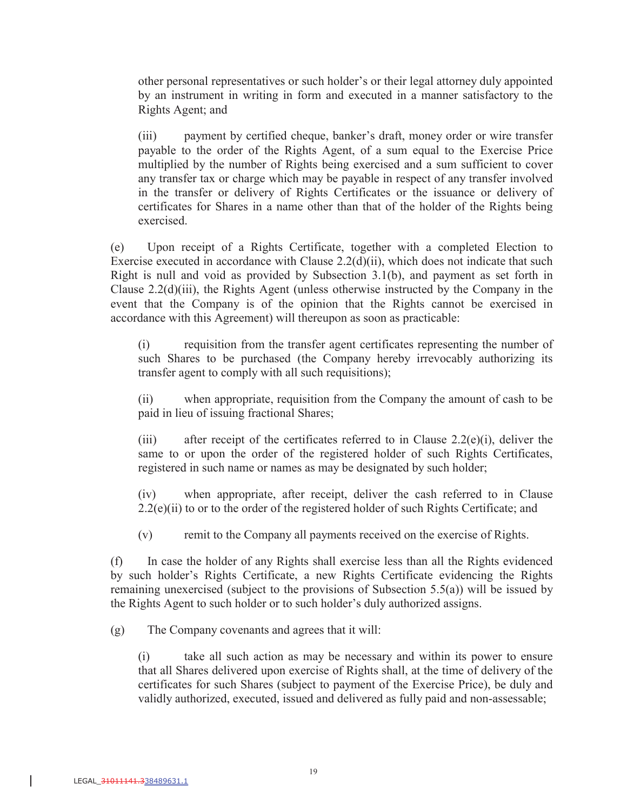other personal representatives or such holder's or their legal attorney duly appointed by an instrument in writing in form and executed in a manner satisfactory to the Rights Agent; and

(iii) payment by certified cheque, banker's draft, money order or wire transfer payable to the order of the Rights Agent, of a sum equal to the Exercise Price multiplied by the number of Rights being exercised and a sum sufficient to cover any transfer tax or charge which may be payable in respect of any transfer involved in the transfer or delivery of Rights Certificates or the issuance or delivery of certificates for Shares in a name other than that of the holder of the Rights being exercised.

(e) Upon receipt of a Rights Certificate, together with a completed Election to Exercise executed in accordance with Clause 2.2(d)(ii), which does not indicate that such Right is null and void as provided by Subsection 3.1(b), and payment as set forth in Clause 2.2(d)(iii), the Rights Agent (unless otherwise instructed by the Company in the event that the Company is of the opinion that the Rights cannot be exercised in accordance with this Agreement) will thereupon as soon as practicable:

(i) requisition from the transfer agent certificates representing the number of such Shares to be purchased (the Company hereby irrevocably authorizing its transfer agent to comply with all such requisitions);

(ii) when appropriate, requisition from the Company the amount of cash to be paid in lieu of issuing fractional Shares;

(iii) after receipt of the certificates referred to in Clause 2.2(e)(i), deliver the same to or upon the order of the registered holder of such Rights Certificates, registered in such name or names as may be designated by such holder;

(iv) when appropriate, after receipt, deliver the cash referred to in Clause  $2.2(e)(ii)$  to or to the order of the registered holder of such Rights Certificate; and

(v) remit to the Company all payments received on the exercise of Rights.

(f) In case the holder of any Rights shall exercise less than all the Rights evidenced by such holder's Rights Certificate, a new Rights Certificate evidencing the Rights remaining unexercised (subject to the provisions of Subsection 5.5(a)) will be issued by the Rights Agent to such holder or to such holder's duly authorized assigns.

(g) The Company covenants and agrees that it will:

(i) take all such action as may be necessary and within its power to ensure that all Shares delivered upon exercise of Rights shall, at the time of delivery of the certificates for such Shares (subject to payment of the Exercise Price), be duly and validly authorized, executed, issued and delivered as fully paid and non-assessable;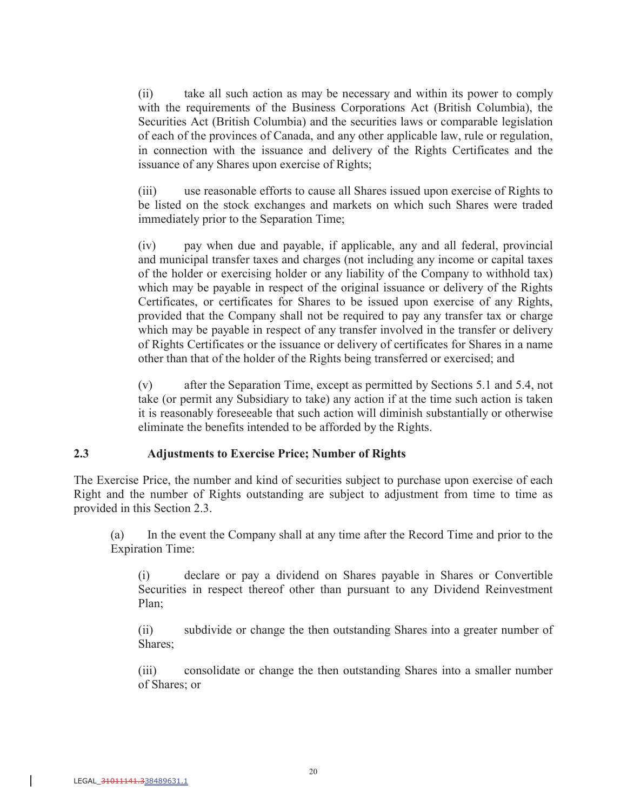(ii) take all such action as may be necessary and within its power to comply with the requirements of the Business Corporations Act (British Columbia), the Securities Act (British Columbia) and the securities laws or comparable legislation of each of the provinces of Canada, and any other applicable law, rule or regulation, in connection with the issuance and delivery of the Rights Certificates and the issuance of any Shares upon exercise of Rights;

(iii) use reasonable efforts to cause all Shares issued upon exercise of Rights to be listed on the stock exchanges and markets on which such Shares were traded immediately prior to the Separation Time;

(iv) pay when due and payable, if applicable, any and all federal, provincial and municipal transfer taxes and charges (not including any income or capital taxes of the holder or exercising holder or any liability of the Company to withhold tax) which may be payable in respect of the original issuance or delivery of the Rights Certificates, or certificates for Shares to be issued upon exercise of any Rights, provided that the Company shall not be required to pay any transfer tax or charge which may be payable in respect of any transfer involved in the transfer or delivery of Rights Certificates or the issuance or delivery of certificates for Shares in a name other than that of the holder of the Rights being transferred or exercised; and

(v) after the Separation Time, except as permitted by Sections 5.1 and 5.4, not take (or permit any Subsidiary to take) any action if at the time such action is taken it is reasonably foreseeable that such action will diminish substantially or otherwise eliminate the benefits intended to be afforded by the Rights.

### **2.3 Adjustments to Exercise Price; Number of Rights**

The Exercise Price, the number and kind of securities subject to purchase upon exercise of each Right and the number of Rights outstanding are subject to adjustment from time to time as provided in this Section 2.3.

(a) In the event the Company shall at any time after the Record Time and prior to the Expiration Time:

(i) declare or pay a dividend on Shares payable in Shares or Convertible Securities in respect thereof other than pursuant to any Dividend Reinvestment Plan;

(ii) subdivide or change the then outstanding Shares into a greater number of Shares;

(iii) consolidate or change the then outstanding Shares into a smaller number of Shares; or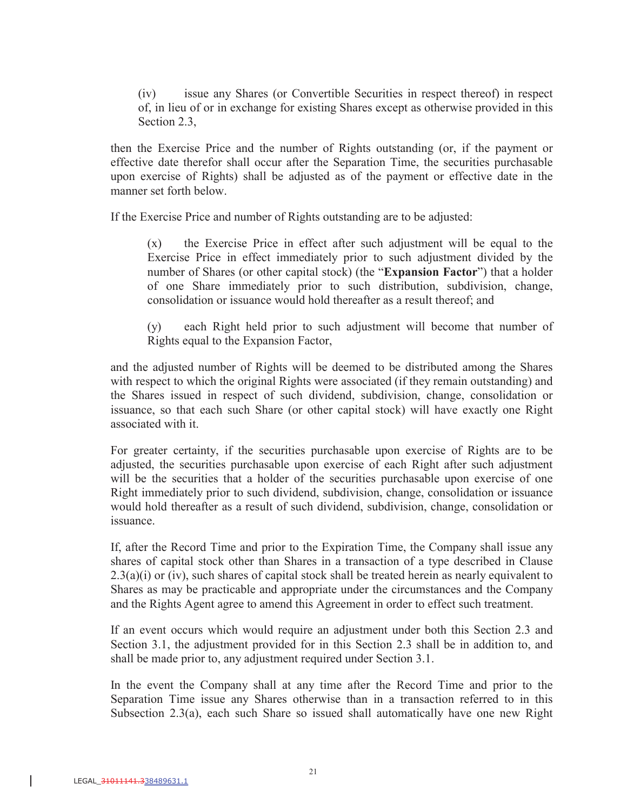(iv) issue any Shares (or Convertible Securities in respect thereof) in respect of, in lieu of or in exchange for existing Shares except as otherwise provided in this Section 2.3,

then the Exercise Price and the number of Rights outstanding (or, if the payment or effective date therefor shall occur after the Separation Time, the securities purchasable upon exercise of Rights) shall be adjusted as of the payment or effective date in the manner set forth below.

If the Exercise Price and number of Rights outstanding are to be adjusted:

(x) the Exercise Price in effect after such adjustment will be equal to the Exercise Price in effect immediately prior to such adjustment divided by the number of Shares (or other capital stock) (the "**Expansion Factor**") that a holder of one Share immediately prior to such distribution, subdivision, change, consolidation or issuance would hold thereafter as a result thereof; and

(y) each Right held prior to such adjustment will become that number of Rights equal to the Expansion Factor,

and the adjusted number of Rights will be deemed to be distributed among the Shares with respect to which the original Rights were associated (if they remain outstanding) and the Shares issued in respect of such dividend, subdivision, change, consolidation or issuance, so that each such Share (or other capital stock) will have exactly one Right associated with it.

For greater certainty, if the securities purchasable upon exercise of Rights are to be adjusted, the securities purchasable upon exercise of each Right after such adjustment will be the securities that a holder of the securities purchasable upon exercise of one Right immediately prior to such dividend, subdivision, change, consolidation or issuance would hold thereafter as a result of such dividend, subdivision, change, consolidation or issuance.

If, after the Record Time and prior to the Expiration Time, the Company shall issue any shares of capital stock other than Shares in a transaction of a type described in Clause  $2.3(a)(i)$  or (iv), such shares of capital stock shall be treated herein as nearly equivalent to Shares as may be practicable and appropriate under the circumstances and the Company and the Rights Agent agree to amend this Agreement in order to effect such treatment.

If an event occurs which would require an adjustment under both this Section 2.3 and Section 3.1, the adjustment provided for in this Section 2.3 shall be in addition to, and shall be made prior to, any adjustment required under Section 3.1.

In the event the Company shall at any time after the Record Time and prior to the Separation Time issue any Shares otherwise than in a transaction referred to in this Subsection 2.3(a), each such Share so issued shall automatically have one new Right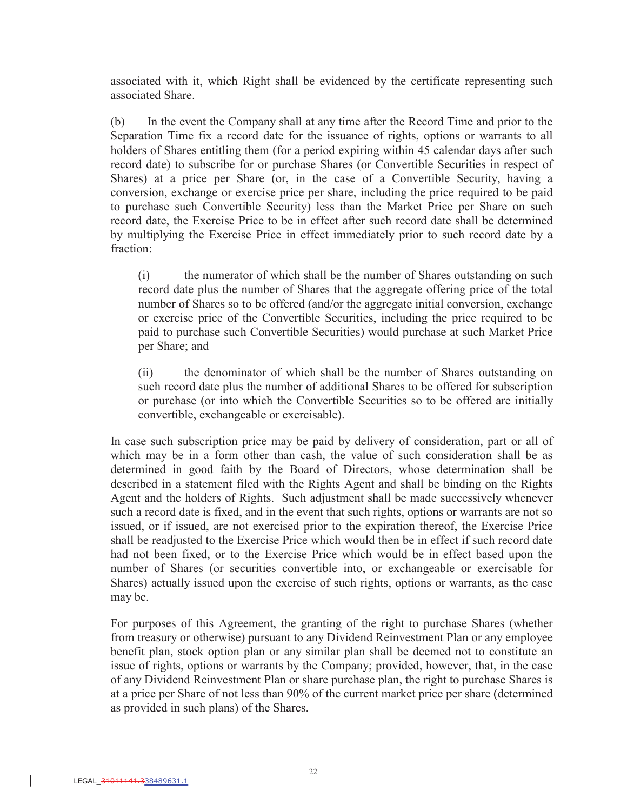associated with it, which Right shall be evidenced by the certificate representing such associated Share.

(b) In the event the Company shall at any time after the Record Time and prior to the Separation Time fix a record date for the issuance of rights, options or warrants to all holders of Shares entitling them (for a period expiring within 45 calendar days after such record date) to subscribe for or purchase Shares (or Convertible Securities in respect of Shares) at a price per Share (or, in the case of a Convertible Security, having a conversion, exchange or exercise price per share, including the price required to be paid to purchase such Convertible Security) less than the Market Price per Share on such record date, the Exercise Price to be in effect after such record date shall be determined by multiplying the Exercise Price in effect immediately prior to such record date by a fraction:

(i) the numerator of which shall be the number of Shares outstanding on such record date plus the number of Shares that the aggregate offering price of the total number of Shares so to be offered (and/or the aggregate initial conversion, exchange or exercise price of the Convertible Securities, including the price required to be paid to purchase such Convertible Securities) would purchase at such Market Price per Share; and

(ii) the denominator of which shall be the number of Shares outstanding on such record date plus the number of additional Shares to be offered for subscription or purchase (or into which the Convertible Securities so to be offered are initially convertible, exchangeable or exercisable).

In case such subscription price may be paid by delivery of consideration, part or all of which may be in a form other than cash, the value of such consideration shall be as determined in good faith by the Board of Directors, whose determination shall be described in a statement filed with the Rights Agent and shall be binding on the Rights Agent and the holders of Rights. Such adjustment shall be made successively whenever such a record date is fixed, and in the event that such rights, options or warrants are not so issued, or if issued, are not exercised prior to the expiration thereof, the Exercise Price shall be readjusted to the Exercise Price which would then be in effect if such record date had not been fixed, or to the Exercise Price which would be in effect based upon the number of Shares (or securities convertible into, or exchangeable or exercisable for Shares) actually issued upon the exercise of such rights, options or warrants, as the case may be.

For purposes of this Agreement, the granting of the right to purchase Shares (whether from treasury or otherwise) pursuant to any Dividend Reinvestment Plan or any employee benefit plan, stock option plan or any similar plan shall be deemed not to constitute an issue of rights, options or warrants by the Company; provided, however, that, in the case of any Dividend Reinvestment Plan or share purchase plan, the right to purchase Shares is at a price per Share of not less than 90% of the current market price per share (determined as provided in such plans) of the Shares.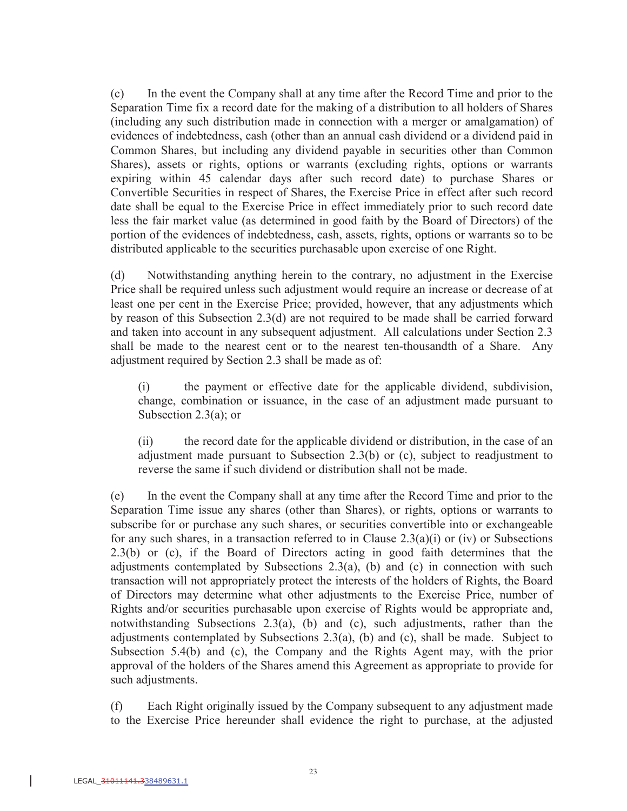(c) In the event the Company shall at any time after the Record Time and prior to the Separation Time fix a record date for the making of a distribution to all holders of Shares (including any such distribution made in connection with a merger or amalgamation) of evidences of indebtedness, cash (other than an annual cash dividend or a dividend paid in Common Shares, but including any dividend payable in securities other than Common Shares), assets or rights, options or warrants (excluding rights, options or warrants expiring within 45 calendar days after such record date) to purchase Shares or Convertible Securities in respect of Shares, the Exercise Price in effect after such record date shall be equal to the Exercise Price in effect immediately prior to such record date less the fair market value (as determined in good faith by the Board of Directors) of the portion of the evidences of indebtedness, cash, assets, rights, options or warrants so to be distributed applicable to the securities purchasable upon exercise of one Right.

(d) Notwithstanding anything herein to the contrary, no adjustment in the Exercise Price shall be required unless such adjustment would require an increase or decrease of at least one per cent in the Exercise Price; provided, however, that any adjustments which by reason of this Subsection 2.3(d) are not required to be made shall be carried forward and taken into account in any subsequent adjustment. All calculations under Section 2.3 shall be made to the nearest cent or to the nearest ten-thousandth of a Share. Any adjustment required by Section 2.3 shall be made as of:

(i) the payment or effective date for the applicable dividend, subdivision, change, combination or issuance, in the case of an adjustment made pursuant to Subsection 2.3(a); or

(ii) the record date for the applicable dividend or distribution, in the case of an adjustment made pursuant to Subsection 2.3(b) or (c), subject to readjustment to reverse the same if such dividend or distribution shall not be made.

(e) In the event the Company shall at any time after the Record Time and prior to the Separation Time issue any shares (other than Shares), or rights, options or warrants to subscribe for or purchase any such shares, or securities convertible into or exchangeable for any such shares, in a transaction referred to in Clause  $2.3(a)(i)$  or (iv) or Subsections 2.3(b) or (c), if the Board of Directors acting in good faith determines that the adjustments contemplated by Subsections  $2.3(a)$ , (b) and (c) in connection with such transaction will not appropriately protect the interests of the holders of Rights, the Board of Directors may determine what other adjustments to the Exercise Price, number of Rights and/or securities purchasable upon exercise of Rights would be appropriate and, notwithstanding Subsections 2.3(a), (b) and (c), such adjustments, rather than the adjustments contemplated by Subsections 2.3(a), (b) and (c), shall be made. Subject to Subsection 5.4(b) and (c), the Company and the Rights Agent may, with the prior approval of the holders of the Shares amend this Agreement as appropriate to provide for such adjustments.

(f) Each Right originally issued by the Company subsequent to any adjustment made to the Exercise Price hereunder shall evidence the right to purchase, at the adjusted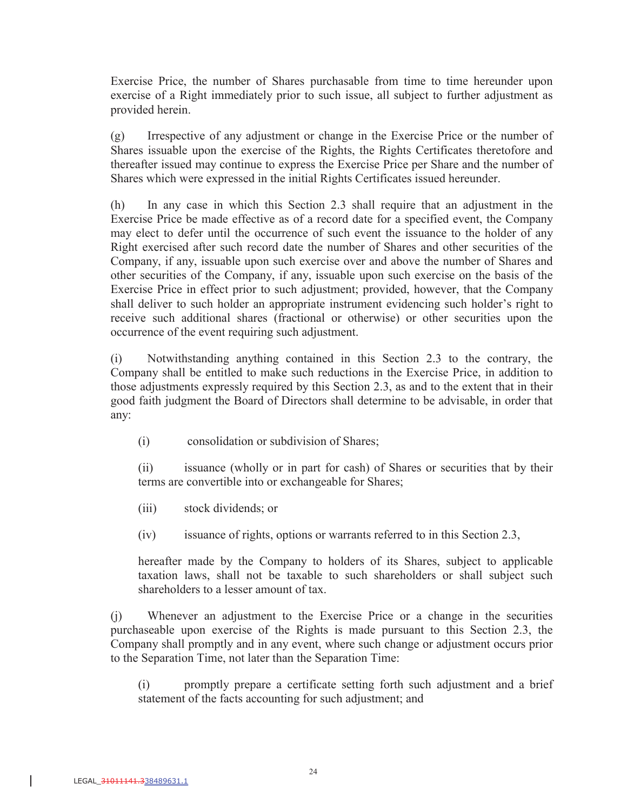Exercise Price, the number of Shares purchasable from time to time hereunder upon exercise of a Right immediately prior to such issue, all subject to further adjustment as provided herein.

(g) Irrespective of any adjustment or change in the Exercise Price or the number of Shares issuable upon the exercise of the Rights, the Rights Certificates theretofore and thereafter issued may continue to express the Exercise Price per Share and the number of Shares which were expressed in the initial Rights Certificates issued hereunder.

(h) In any case in which this Section 2.3 shall require that an adjustment in the Exercise Price be made effective as of a record date for a specified event, the Company may elect to defer until the occurrence of such event the issuance to the holder of any Right exercised after such record date the number of Shares and other securities of the Company, if any, issuable upon such exercise over and above the number of Shares and other securities of the Company, if any, issuable upon such exercise on the basis of the Exercise Price in effect prior to such adjustment; provided, however, that the Company shall deliver to such holder an appropriate instrument evidencing such holder's right to receive such additional shares (fractional or otherwise) or other securities upon the occurrence of the event requiring such adjustment.

(i) Notwithstanding anything contained in this Section 2.3 to the contrary, the Company shall be entitled to make such reductions in the Exercise Price, in addition to those adjustments expressly required by this Section 2.3, as and to the extent that in their good faith judgment the Board of Directors shall determine to be advisable, in order that any:

(i) consolidation or subdivision of Shares;

(ii) issuance (wholly or in part for cash) of Shares or securities that by their terms are convertible into or exchangeable for Shares;

- (iii) stock dividends; or
- (iv) issuance of rights, options or warrants referred to in this Section 2.3,

hereafter made by the Company to holders of its Shares, subject to applicable taxation laws, shall not be taxable to such shareholders or shall subject such shareholders to a lesser amount of tax.

(j) Whenever an adjustment to the Exercise Price or a change in the securities purchaseable upon exercise of the Rights is made pursuant to this Section 2.3, the Company shall promptly and in any event, where such change or adjustment occurs prior to the Separation Time, not later than the Separation Time:

(i) promptly prepare a certificate setting forth such adjustment and a brief statement of the facts accounting for such adjustment; and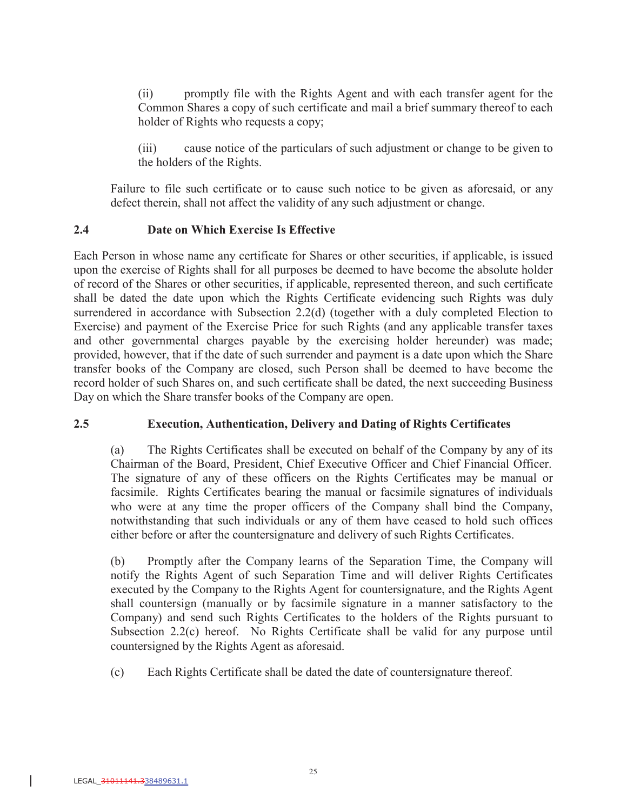(ii) promptly file with the Rights Agent and with each transfer agent for the Common Shares a copy of such certificate and mail a brief summary thereof to each holder of Rights who requests a copy;

(iii) cause notice of the particulars of such adjustment or change to be given to the holders of the Rights.

Failure to file such certificate or to cause such notice to be given as aforesaid, or any defect therein, shall not affect the validity of any such adjustment or change.

### **2.4 Date on Which Exercise Is Effective**

Each Person in whose name any certificate for Shares or other securities, if applicable, is issued upon the exercise of Rights shall for all purposes be deemed to have become the absolute holder of record of the Shares or other securities, if applicable, represented thereon, and such certificate shall be dated the date upon which the Rights Certificate evidencing such Rights was duly surrendered in accordance with Subsection 2.2(d) (together with a duly completed Election to Exercise) and payment of the Exercise Price for such Rights (and any applicable transfer taxes and other governmental charges payable by the exercising holder hereunder) was made; provided, however, that if the date of such surrender and payment is a date upon which the Share transfer books of the Company are closed, such Person shall be deemed to have become the record holder of such Shares on, and such certificate shall be dated, the next succeeding Business Day on which the Share transfer books of the Company are open.

# **2.5 Execution, Authentication, Delivery and Dating of Rights Certificates**

(a) The Rights Certificates shall be executed on behalf of the Company by any of its Chairman of the Board, President, Chief Executive Officer and Chief Financial Officer. The signature of any of these officers on the Rights Certificates may be manual or facsimile. Rights Certificates bearing the manual or facsimile signatures of individuals who were at any time the proper officers of the Company shall bind the Company, notwithstanding that such individuals or any of them have ceased to hold such offices either before or after the countersignature and delivery of such Rights Certificates.

(b) Promptly after the Company learns of the Separation Time, the Company will notify the Rights Agent of such Separation Time and will deliver Rights Certificates executed by the Company to the Rights Agent for countersignature, and the Rights Agent shall countersign (manually or by facsimile signature in a manner satisfactory to the Company) and send such Rights Certificates to the holders of the Rights pursuant to Subsection 2.2(c) hereof. No Rights Certificate shall be valid for any purpose until countersigned by the Rights Agent as aforesaid.

(c) Each Rights Certificate shall be dated the date of countersignature thereof.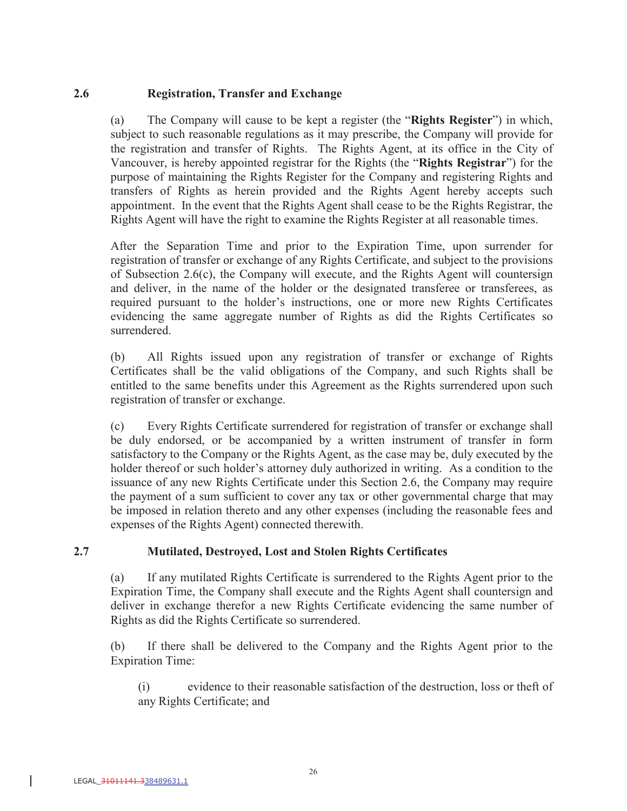### **2.6 Registration, Transfer and Exchange**

(a) The Company will cause to be kept a register (the "**Rights Register**") in which, subject to such reasonable regulations as it may prescribe, the Company will provide for the registration and transfer of Rights. The Rights Agent, at its office in the City of Vancouver, is hereby appointed registrar for the Rights (the "**Rights Registrar**") for the purpose of maintaining the Rights Register for the Company and registering Rights and transfers of Rights as herein provided and the Rights Agent hereby accepts such appointment. In the event that the Rights Agent shall cease to be the Rights Registrar, the Rights Agent will have the right to examine the Rights Register at all reasonable times.

After the Separation Time and prior to the Expiration Time, upon surrender for registration of transfer or exchange of any Rights Certificate, and subject to the provisions of Subsection 2.6(c), the Company will execute, and the Rights Agent will countersign and deliver, in the name of the holder or the designated transferee or transferees, as required pursuant to the holder's instructions, one or more new Rights Certificates evidencing the same aggregate number of Rights as did the Rights Certificates so surrendered.

(b) All Rights issued upon any registration of transfer or exchange of Rights Certificates shall be the valid obligations of the Company, and such Rights shall be entitled to the same benefits under this Agreement as the Rights surrendered upon such registration of transfer or exchange.

(c) Every Rights Certificate surrendered for registration of transfer or exchange shall be duly endorsed, or be accompanied by a written instrument of transfer in form satisfactory to the Company or the Rights Agent, as the case may be, duly executed by the holder thereof or such holder's attorney duly authorized in writing. As a condition to the issuance of any new Rights Certificate under this Section 2.6, the Company may require the payment of a sum sufficient to cover any tax or other governmental charge that may be imposed in relation thereto and any other expenses (including the reasonable fees and expenses of the Rights Agent) connected therewith.

# **2.7 Mutilated, Destroyed, Lost and Stolen Rights Certificates**

(a) If any mutilated Rights Certificate is surrendered to the Rights Agent prior to the Expiration Time, the Company shall execute and the Rights Agent shall countersign and deliver in exchange therefor a new Rights Certificate evidencing the same number of Rights as did the Rights Certificate so surrendered.

(b) If there shall be delivered to the Company and the Rights Agent prior to the Expiration Time:

(i) evidence to their reasonable satisfaction of the destruction, loss or theft of any Rights Certificate; and

 $\overline{\phantom{a}}$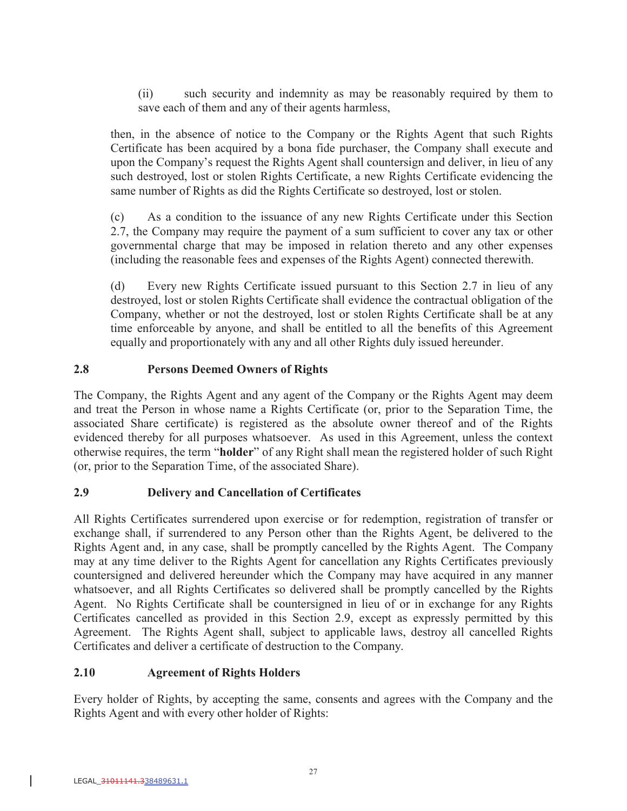(ii) such security and indemnity as may be reasonably required by them to save each of them and any of their agents harmless,

then, in the absence of notice to the Company or the Rights Agent that such Rights Certificate has been acquired by a bona fide purchaser, the Company shall execute and upon the Company's request the Rights Agent shall countersign and deliver, in lieu of any such destroyed, lost or stolen Rights Certificate, a new Rights Certificate evidencing the same number of Rights as did the Rights Certificate so destroyed, lost or stolen.

(c) As a condition to the issuance of any new Rights Certificate under this Section 2.7, the Company may require the payment of a sum sufficient to cover any tax or other governmental charge that may be imposed in relation thereto and any other expenses (including the reasonable fees and expenses of the Rights Agent) connected therewith.

(d) Every new Rights Certificate issued pursuant to this Section 2.7 in lieu of any destroyed, lost or stolen Rights Certificate shall evidence the contractual obligation of the Company, whether or not the destroyed, lost or stolen Rights Certificate shall be at any time enforceable by anyone, and shall be entitled to all the benefits of this Agreement equally and proportionately with any and all other Rights duly issued hereunder.

# **2.8 Persons Deemed Owners of Rights**

The Company, the Rights Agent and any agent of the Company or the Rights Agent may deem and treat the Person in whose name a Rights Certificate (or, prior to the Separation Time, the associated Share certificate) is registered as the absolute owner thereof and of the Rights evidenced thereby for all purposes whatsoever. As used in this Agreement, unless the context otherwise requires, the term "**holder**" of any Right shall mean the registered holder of such Right (or, prior to the Separation Time, of the associated Share).

# **2.9 Delivery and Cancellation of Certificates**

All Rights Certificates surrendered upon exercise or for redemption, registration of transfer or exchange shall, if surrendered to any Person other than the Rights Agent, be delivered to the Rights Agent and, in any case, shall be promptly cancelled by the Rights Agent. The Company may at any time deliver to the Rights Agent for cancellation any Rights Certificates previously countersigned and delivered hereunder which the Company may have acquired in any manner whatsoever, and all Rights Certificates so delivered shall be promptly cancelled by the Rights Agent. No Rights Certificate shall be countersigned in lieu of or in exchange for any Rights Certificates cancelled as provided in this Section 2.9, except as expressly permitted by this Agreement. The Rights Agent shall, subject to applicable laws, destroy all cancelled Rights Certificates and deliver a certificate of destruction to the Company.

# **2.10 Agreement of Rights Holders**

Every holder of Rights, by accepting the same, consents and agrees with the Company and the Rights Agent and with every other holder of Rights: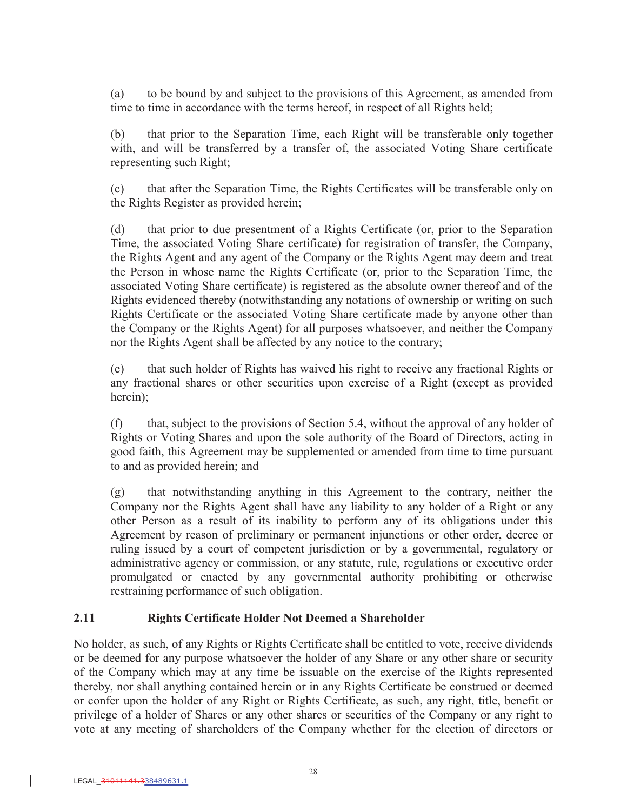(a) to be bound by and subject to the provisions of this Agreement, as amended from time to time in accordance with the terms hereof, in respect of all Rights held;

(b) that prior to the Separation Time, each Right will be transferable only together with, and will be transferred by a transfer of, the associated Voting Share certificate representing such Right;

(c) that after the Separation Time, the Rights Certificates will be transferable only on the Rights Register as provided herein;

(d) that prior to due presentment of a Rights Certificate (or, prior to the Separation Time, the associated Voting Share certificate) for registration of transfer, the Company, the Rights Agent and any agent of the Company or the Rights Agent may deem and treat the Person in whose name the Rights Certificate (or, prior to the Separation Time, the associated Voting Share certificate) is registered as the absolute owner thereof and of the Rights evidenced thereby (notwithstanding any notations of ownership or writing on such Rights Certificate or the associated Voting Share certificate made by anyone other than the Company or the Rights Agent) for all purposes whatsoever, and neither the Company nor the Rights Agent shall be affected by any notice to the contrary;

(e) that such holder of Rights has waived his right to receive any fractional Rights or any fractional shares or other securities upon exercise of a Right (except as provided herein);

(f) that, subject to the provisions of Section 5.4, without the approval of any holder of Rights or Voting Shares and upon the sole authority of the Board of Directors, acting in good faith, this Agreement may be supplemented or amended from time to time pursuant to and as provided herein; and

(g) that notwithstanding anything in this Agreement to the contrary, neither the Company nor the Rights Agent shall have any liability to any holder of a Right or any other Person as a result of its inability to perform any of its obligations under this Agreement by reason of preliminary or permanent injunctions or other order, decree or ruling issued by a court of competent jurisdiction or by a governmental, regulatory or administrative agency or commission, or any statute, rule, regulations or executive order promulgated or enacted by any governmental authority prohibiting or otherwise restraining performance of such obligation.

# **2.11 Rights Certificate Holder Not Deemed a Shareholder**

No holder, as such, of any Rights or Rights Certificate shall be entitled to vote, receive dividends or be deemed for any purpose whatsoever the holder of any Share or any other share or security of the Company which may at any time be issuable on the exercise of the Rights represented thereby, nor shall anything contained herein or in any Rights Certificate be construed or deemed or confer upon the holder of any Right or Rights Certificate, as such, any right, title, benefit or privilege of a holder of Shares or any other shares or securities of the Company or any right to vote at any meeting of shareholders of the Company whether for the election of directors or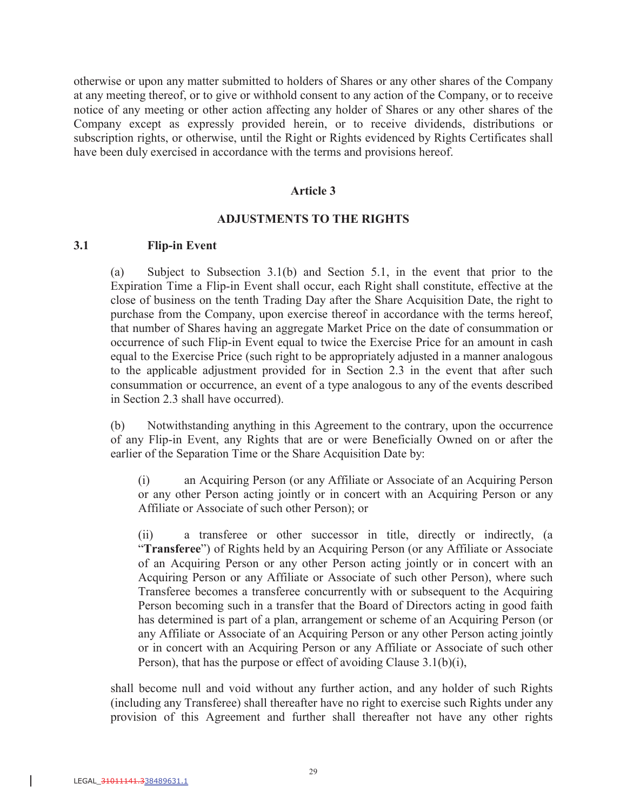otherwise or upon any matter submitted to holders of Shares or any other shares of the Company at any meeting thereof, or to give or withhold consent to any action of the Company, or to receive notice of any meeting or other action affecting any holder of Shares or any other shares of the Company except as expressly provided herein, or to receive dividends, distributions or subscription rights, or otherwise, until the Right or Rights evidenced by Rights Certificates shall have been duly exercised in accordance with the terms and provisions hereof.

#### **Article 3**

#### **ADJUSTMENTS TO THE RIGHTS**

#### **3.1 Flip-in Event**

(a) Subject to Subsection 3.1(b) and Section 5.1, in the event that prior to the Expiration Time a Flip-in Event shall occur, each Right shall constitute, effective at the close of business on the tenth Trading Day after the Share Acquisition Date, the right to purchase from the Company, upon exercise thereof in accordance with the terms hereof, that number of Shares having an aggregate Market Price on the date of consummation or occurrence of such Flip-in Event equal to twice the Exercise Price for an amount in cash equal to the Exercise Price (such right to be appropriately adjusted in a manner analogous to the applicable adjustment provided for in Section 2.3 in the event that after such consummation or occurrence, an event of a type analogous to any of the events described in Section 2.3 shall have occurred).

(b) Notwithstanding anything in this Agreement to the contrary, upon the occurrence of any Flip-in Event, any Rights that are or were Beneficially Owned on or after the earlier of the Separation Time or the Share Acquisition Date by:

(i) an Acquiring Person (or any Affiliate or Associate of an Acquiring Person or any other Person acting jointly or in concert with an Acquiring Person or any Affiliate or Associate of such other Person); or

(ii) a transferee or other successor in title, directly or indirectly, (a "**Transferee**") of Rights held by an Acquiring Person (or any Affiliate or Associate of an Acquiring Person or any other Person acting jointly or in concert with an Acquiring Person or any Affiliate or Associate of such other Person), where such Transferee becomes a transferee concurrently with or subsequent to the Acquiring Person becoming such in a transfer that the Board of Directors acting in good faith has determined is part of a plan, arrangement or scheme of an Acquiring Person (or any Affiliate or Associate of an Acquiring Person or any other Person acting jointly or in concert with an Acquiring Person or any Affiliate or Associate of such other Person), that has the purpose or effect of avoiding Clause 3.1(b)(i),

shall become null and void without any further action, and any holder of such Rights (including any Transferee) shall thereafter have no right to exercise such Rights under any provision of this Agreement and further shall thereafter not have any other rights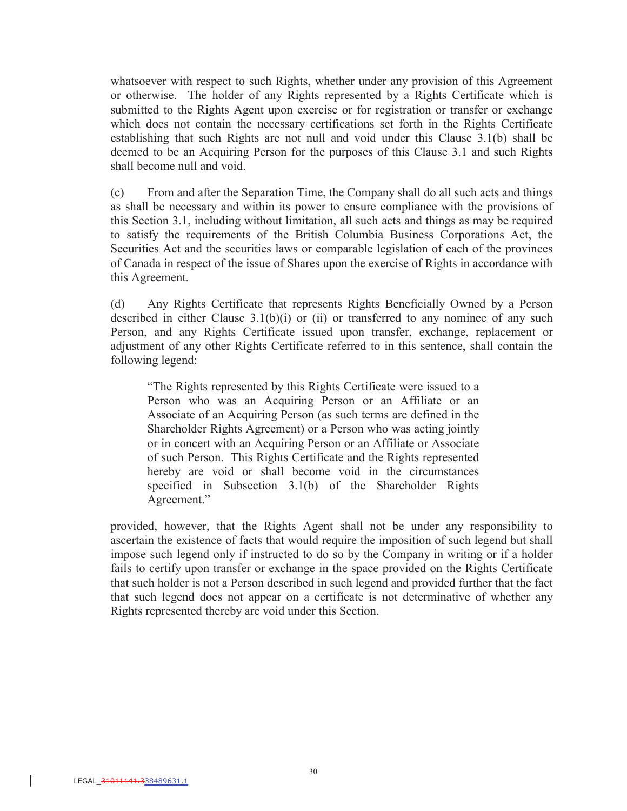whatsoever with respect to such Rights, whether under any provision of this Agreement or otherwise. The holder of any Rights represented by a Rights Certificate which is submitted to the Rights Agent upon exercise or for registration or transfer or exchange which does not contain the necessary certifications set forth in the Rights Certificate establishing that such Rights are not null and void under this Clause 3.1(b) shall be deemed to be an Acquiring Person for the purposes of this Clause 3.1 and such Rights shall become null and void.

(c) From and after the Separation Time, the Company shall do all such acts and things as shall be necessary and within its power to ensure compliance with the provisions of this Section 3.1, including without limitation, all such acts and things as may be required to satisfy the requirements of the British Columbia Business Corporations Act, the Securities Act and the securities laws or comparable legislation of each of the provinces of Canada in respect of the issue of Shares upon the exercise of Rights in accordance with this Agreement.

(d) Any Rights Certificate that represents Rights Beneficially Owned by a Person described in either Clause  $3.1(b)(i)$  or (ii) or transferred to any nominee of any such Person, and any Rights Certificate issued upon transfer, exchange, replacement or adjustment of any other Rights Certificate referred to in this sentence, shall contain the following legend:

"The Rights represented by this Rights Certificate were issued to a Person who was an Acquiring Person or an Affiliate or an Associate of an Acquiring Person (as such terms are defined in the Shareholder Rights Agreement) or a Person who was acting jointly or in concert with an Acquiring Person or an Affiliate or Associate of such Person. This Rights Certificate and the Rights represented hereby are void or shall become void in the circumstances specified in Subsection 3.1(b) of the Shareholder Rights Agreement."

provided, however, that the Rights Agent shall not be under any responsibility to ascertain the existence of facts that would require the imposition of such legend but shall impose such legend only if instructed to do so by the Company in writing or if a holder fails to certify upon transfer or exchange in the space provided on the Rights Certificate that such holder is not a Person described in such legend and provided further that the fact that such legend does not appear on a certificate is not determinative of whether any Rights represented thereby are void under this Section.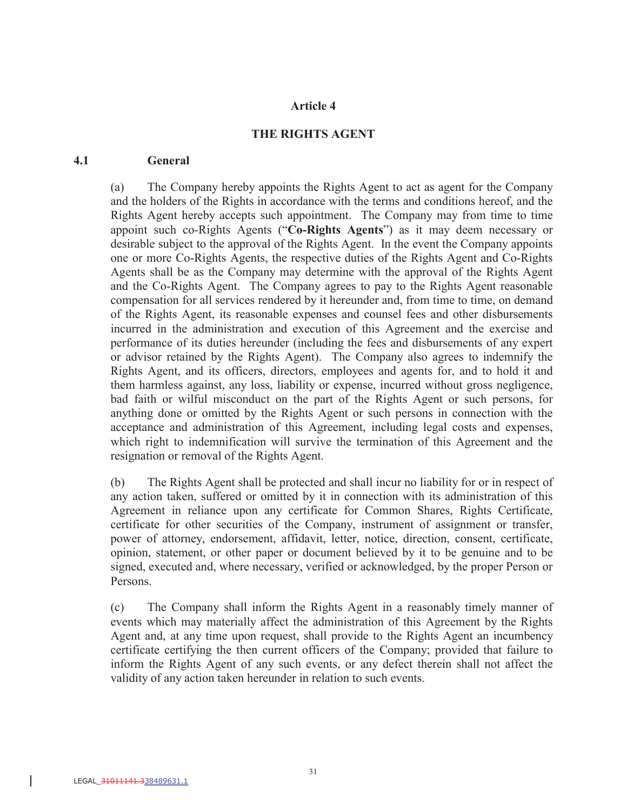#### **Article 4**

#### **THE RIGHTS AGENT**

#### **4.1 General**

(a) The Company hereby appoints the Rights Agent to act as agent for the Company and the holders of the Rights in accordance with the terms and conditions hereof, and the Rights Agent hereby accepts such appointment. The Company may from time to time appoint such co-Rights Agents ("**Co-Rights Agents**") as it may deem necessary or desirable subject to the approval of the Rights Agent. In the event the Company appoints one or more Co-Rights Agents, the respective duties of the Rights Agent and Co-Rights Agents shall be as the Company may determine with the approval of the Rights Agent and the Co-Rights Agent. The Company agrees to pay to the Rights Agent reasonable compensation for all services rendered by it hereunder and, from time to time, on demand of the Rights Agent, its reasonable expenses and counsel fees and other disbursements incurred in the administration and execution of this Agreement and the exercise and performance of its duties hereunder (including the fees and disbursements of any expert or advisor retained by the Rights Agent). The Company also agrees to indemnify the Rights Agent, and its officers, directors, employees and agents for, and to hold it and them harmless against, any loss, liability or expense, incurred without gross negligence, bad faith or wilful misconduct on the part of the Rights Agent or such persons, for anything done or omitted by the Rights Agent or such persons in connection with the acceptance and administration of this Agreement, including legal costs and expenses, which right to indemnification will survive the termination of this Agreement and the resignation or removal of the Rights Agent.

(b) The Rights Agent shall be protected and shall incur no liability for or in respect of any action taken, suffered or omitted by it in connection with its administration of this Agreement in reliance upon any certificate for Common Shares, Rights Certificate, certificate for other securities of the Company, instrument of assignment or transfer, power of attorney, endorsement, affidavit, letter, notice, direction, consent, certificate, opinion, statement, or other paper or document believed by it to be genuine and to be signed, executed and, where necessary, verified or acknowledged, by the proper Person or Persons.

(c) The Company shall inform the Rights Agent in a reasonably timely manner of events which may materially affect the administration of this Agreement by the Rights Agent and, at any time upon request, shall provide to the Rights Agent an incumbency certificate certifying the then current officers of the Company; provided that failure to inform the Rights Agent of any such events, or any defect therein shall not affect the validity of any action taken hereunder in relation to such events.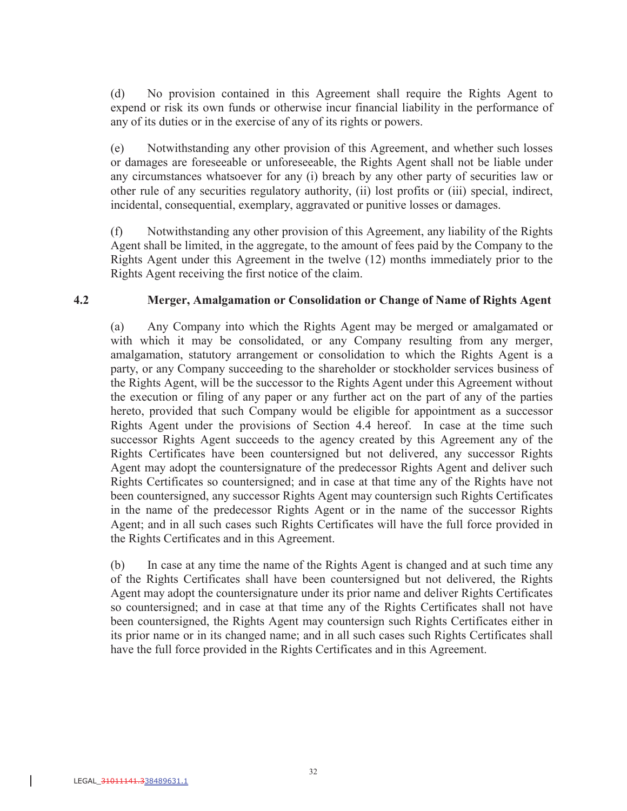(d) No provision contained in this Agreement shall require the Rights Agent to expend or risk its own funds or otherwise incur financial liability in the performance of any of its duties or in the exercise of any of its rights or powers.

(e) Notwithstanding any other provision of this Agreement, and whether such losses or damages are foreseeable or unforeseeable, the Rights Agent shall not be liable under any circumstances whatsoever for any (i) breach by any other party of securities law or other rule of any securities regulatory authority, (ii) lost profits or (iii) special, indirect, incidental, consequential, exemplary, aggravated or punitive losses or damages.

(f) Notwithstanding any other provision of this Agreement, any liability of the Rights Agent shall be limited, in the aggregate, to the amount of fees paid by the Company to the Rights Agent under this Agreement in the twelve (12) months immediately prior to the Rights Agent receiving the first notice of the claim.

### **4.2 Merger, Amalgamation or Consolidation or Change of Name of Rights Agent**

(a) Any Company into which the Rights Agent may be merged or amalgamated or with which it may be consolidated, or any Company resulting from any merger, amalgamation, statutory arrangement or consolidation to which the Rights Agent is a party, or any Company succeeding to the shareholder or stockholder services business of the Rights Agent, will be the successor to the Rights Agent under this Agreement without the execution or filing of any paper or any further act on the part of any of the parties hereto, provided that such Company would be eligible for appointment as a successor Rights Agent under the provisions of Section 4.4 hereof. In case at the time such successor Rights Agent succeeds to the agency created by this Agreement any of the Rights Certificates have been countersigned but not delivered, any successor Rights Agent may adopt the countersignature of the predecessor Rights Agent and deliver such Rights Certificates so countersigned; and in case at that time any of the Rights have not been countersigned, any successor Rights Agent may countersign such Rights Certificates in the name of the predecessor Rights Agent or in the name of the successor Rights Agent; and in all such cases such Rights Certificates will have the full force provided in the Rights Certificates and in this Agreement.

(b) In case at any time the name of the Rights Agent is changed and at such time any of the Rights Certificates shall have been countersigned but not delivered, the Rights Agent may adopt the countersignature under its prior name and deliver Rights Certificates so countersigned; and in case at that time any of the Rights Certificates shall not have been countersigned, the Rights Agent may countersign such Rights Certificates either in its prior name or in its changed name; and in all such cases such Rights Certificates shall have the full force provided in the Rights Certificates and in this Agreement.

 $\overline{\phantom{a}}$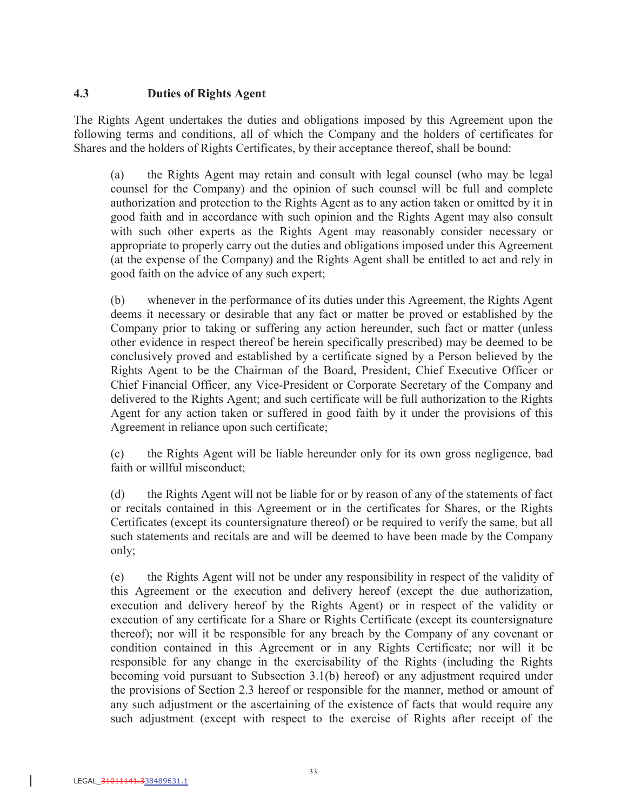### **4.3 Duties of Rights Agent**

The Rights Agent undertakes the duties and obligations imposed by this Agreement upon the following terms and conditions, all of which the Company and the holders of certificates for Shares and the holders of Rights Certificates, by their acceptance thereof, shall be bound:

(a) the Rights Agent may retain and consult with legal counsel (who may be legal counsel for the Company) and the opinion of such counsel will be full and complete authorization and protection to the Rights Agent as to any action taken or omitted by it in good faith and in accordance with such opinion and the Rights Agent may also consult with such other experts as the Rights Agent may reasonably consider necessary or appropriate to properly carry out the duties and obligations imposed under this Agreement (at the expense of the Company) and the Rights Agent shall be entitled to act and rely in good faith on the advice of any such expert;

(b) whenever in the performance of its duties under this Agreement, the Rights Agent deems it necessary or desirable that any fact or matter be proved or established by the Company prior to taking or suffering any action hereunder, such fact or matter (unless other evidence in respect thereof be herein specifically prescribed) may be deemed to be conclusively proved and established by a certificate signed by a Person believed by the Rights Agent to be the Chairman of the Board, President, Chief Executive Officer or Chief Financial Officer, any Vice-President or Corporate Secretary of the Company and delivered to the Rights Agent; and such certificate will be full authorization to the Rights Agent for any action taken or suffered in good faith by it under the provisions of this Agreement in reliance upon such certificate;

(c) the Rights Agent will be liable hereunder only for its own gross negligence, bad faith or willful misconduct;

(d) the Rights Agent will not be liable for or by reason of any of the statements of fact or recitals contained in this Agreement or in the certificates for Shares, or the Rights Certificates (except its countersignature thereof) or be required to verify the same, but all such statements and recitals are and will be deemed to have been made by the Company only;

(e) the Rights Agent will not be under any responsibility in respect of the validity of this Agreement or the execution and delivery hereof (except the due authorization, execution and delivery hereof by the Rights Agent) or in respect of the validity or execution of any certificate for a Share or Rights Certificate (except its countersignature thereof); nor will it be responsible for any breach by the Company of any covenant or condition contained in this Agreement or in any Rights Certificate; nor will it be responsible for any change in the exercisability of the Rights (including the Rights becoming void pursuant to Subsection 3.1(b) hereof) or any adjustment required under the provisions of Section 2.3 hereof or responsible for the manner, method or amount of any such adjustment or the ascertaining of the existence of facts that would require any such adjustment (except with respect to the exercise of Rights after receipt of the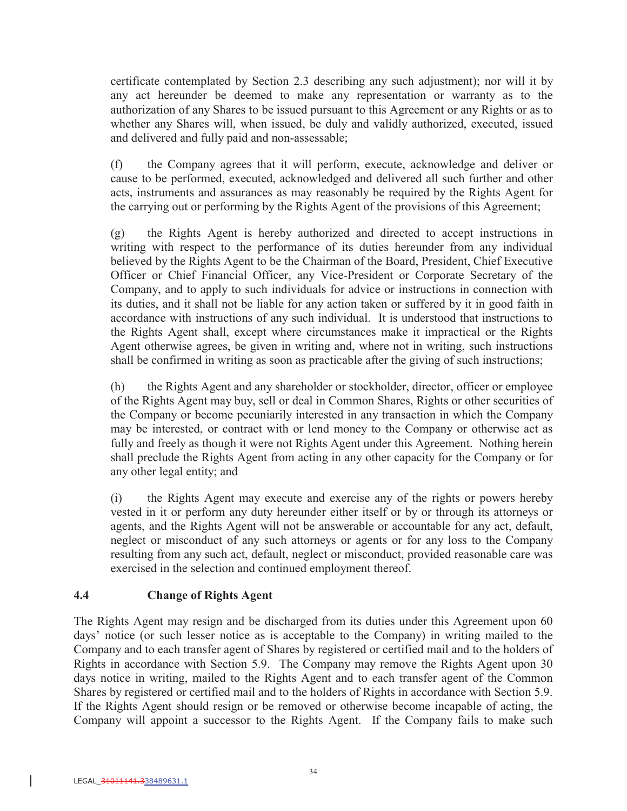certificate contemplated by Section 2.3 describing any such adjustment); nor will it by any act hereunder be deemed to make any representation or warranty as to the authorization of any Shares to be issued pursuant to this Agreement or any Rights or as to whether any Shares will, when issued, be duly and validly authorized, executed, issued and delivered and fully paid and non-assessable;

(f) the Company agrees that it will perform, execute, acknowledge and deliver or cause to be performed, executed, acknowledged and delivered all such further and other acts, instruments and assurances as may reasonably be required by the Rights Agent for the carrying out or performing by the Rights Agent of the provisions of this Agreement;

(g) the Rights Agent is hereby authorized and directed to accept instructions in writing with respect to the performance of its duties hereunder from any individual believed by the Rights Agent to be the Chairman of the Board, President, Chief Executive Officer or Chief Financial Officer, any Vice-President or Corporate Secretary of the Company, and to apply to such individuals for advice or instructions in connection with its duties, and it shall not be liable for any action taken or suffered by it in good faith in accordance with instructions of any such individual. It is understood that instructions to the Rights Agent shall, except where circumstances make it impractical or the Rights Agent otherwise agrees, be given in writing and, where not in writing, such instructions shall be confirmed in writing as soon as practicable after the giving of such instructions;

(h) the Rights Agent and any shareholder or stockholder, director, officer or employee of the Rights Agent may buy, sell or deal in Common Shares, Rights or other securities of the Company or become pecuniarily interested in any transaction in which the Company may be interested, or contract with or lend money to the Company or otherwise act as fully and freely as though it were not Rights Agent under this Agreement. Nothing herein shall preclude the Rights Agent from acting in any other capacity for the Company or for any other legal entity; and

(i) the Rights Agent may execute and exercise any of the rights or powers hereby vested in it or perform any duty hereunder either itself or by or through its attorneys or agents, and the Rights Agent will not be answerable or accountable for any act, default, neglect or misconduct of any such attorneys or agents or for any loss to the Company resulting from any such act, default, neglect or misconduct, provided reasonable care was exercised in the selection and continued employment thereof.

# **4.4 Change of Rights Agent**

The Rights Agent may resign and be discharged from its duties under this Agreement upon 60 days' notice (or such lesser notice as is acceptable to the Company) in writing mailed to the Company and to each transfer agent of Shares by registered or certified mail and to the holders of Rights in accordance with Section 5.9. The Company may remove the Rights Agent upon 30 days notice in writing, mailed to the Rights Agent and to each transfer agent of the Common Shares by registered or certified mail and to the holders of Rights in accordance with Section 5.9. If the Rights Agent should resign or be removed or otherwise become incapable of acting, the Company will appoint a successor to the Rights Agent. If the Company fails to make such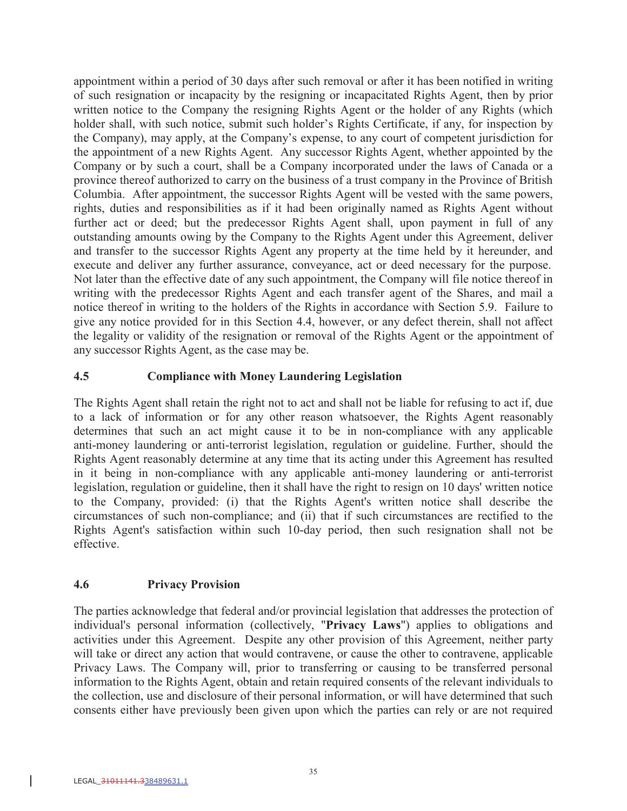appointment within a period of 30 days after such removal or after it has been notified in writing of such resignation or incapacity by the resigning or incapacitated Rights Agent, then by prior written notice to the Company the resigning Rights Agent or the holder of any Rights (which holder shall, with such notice, submit such holder's Rights Certificate, if any, for inspection by the Company), may apply, at the Company's expense, to any court of competent jurisdiction for the appointment of a new Rights Agent. Any successor Rights Agent, whether appointed by the Company or by such a court, shall be a Company incorporated under the laws of Canada or a province thereof authorized to carry on the business of a trust company in the Province of British Columbia. After appointment, the successor Rights Agent will be vested with the same powers, rights, duties and responsibilities as if it had been originally named as Rights Agent without further act or deed; but the predecessor Rights Agent shall, upon payment in full of any outstanding amounts owing by the Company to the Rights Agent under this Agreement, deliver and transfer to the successor Rights Agent any property at the time held by it hereunder, and execute and deliver any further assurance, conveyance, act or deed necessary for the purpose. Not later than the effective date of any such appointment, the Company will file notice thereof in writing with the predecessor Rights Agent and each transfer agent of the Shares, and mail a notice thereof in writing to the holders of the Rights in accordance with Section 5.9. Failure to give any notice provided for in this Section 4.4, however, or any defect therein, shall not affect the legality or validity of the resignation or removal of the Rights Agent or the appointment of any successor Rights Agent, as the case may be.

### **4.5 Compliance with Money Laundering Legislation**

The Rights Agent shall retain the right not to act and shall not be liable for refusing to act if, due to a lack of information or for any other reason whatsoever, the Rights Agent reasonably determines that such an act might cause it to be in non-compliance with any applicable anti-money laundering or anti-terrorist legislation, regulation or guideline. Further, should the Rights Agent reasonably determine at any time that its acting under this Agreement has resulted in it being in non-compliance with any applicable anti-money laundering or anti-terrorist legislation, regulation or guideline, then it shall have the right to resign on 10 days' written notice to the Company, provided: (i) that the Rights Agent's written notice shall describe the circumstances of such non-compliance; and (ii) that if such circumstances are rectified to the Rights Agent's satisfaction within such 10-day period, then such resignation shall not be effective.

# **4.6 Privacy Provision**

The parties acknowledge that federal and/or provincial legislation that addresses the protection of individual's personal information (collectively, "**Privacy Laws**") applies to obligations and activities under this Agreement. Despite any other provision of this Agreement, neither party will take or direct any action that would contravene, or cause the other to contravene, applicable Privacy Laws. The Company will, prior to transferring or causing to be transferred personal information to the Rights Agent, obtain and retain required consents of the relevant individuals to the collection, use and disclosure of their personal information, or will have determined that such consents either have previously been given upon which the parties can rely or are not required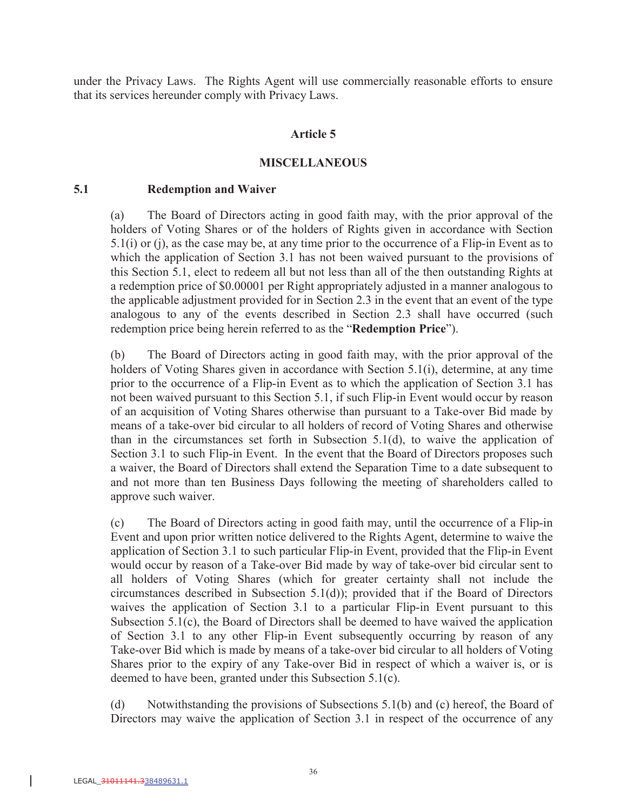under the Privacy Laws. The Rights Agent will use commercially reasonable efforts to ensure that its services hereunder comply with Privacy Laws.

#### **Article 5**

#### **MISCELLANEOUS**

#### **5.1 Redemption and Waiver**

(a) The Board of Directors acting in good faith may, with the prior approval of the holders of Voting Shares or of the holders of Rights given in accordance with Section 5.1(i) or (j), as the case may be, at any time prior to the occurrence of a Flip-in Event as to which the application of Section 3.1 has not been waived pursuant to the provisions of this Section 5.1, elect to redeem all but not less than all of the then outstanding Rights at a redemption price of \$0.00001 per Right appropriately adjusted in a manner analogous to the applicable adjustment provided for in Section 2.3 in the event that an event of the type analogous to any of the events described in Section 2.3 shall have occurred (such redemption price being herein referred to as the "**Redemption Price**").

(b) The Board of Directors acting in good faith may, with the prior approval of the holders of Voting Shares given in accordance with Section 5.1(i), determine, at any time prior to the occurrence of a Flip-in Event as to which the application of Section 3.1 has not been waived pursuant to this Section 5.1, if such Flip-in Event would occur by reason of an acquisition of Voting Shares otherwise than pursuant to a Take-over Bid made by means of a take-over bid circular to all holders of record of Voting Shares and otherwise than in the circumstances set forth in Subsection  $5.1(d)$ , to waive the application of Section 3.1 to such Flip-in Event. In the event that the Board of Directors proposes such a waiver, the Board of Directors shall extend the Separation Time to a date subsequent to and not more than ten Business Days following the meeting of shareholders called to approve such waiver.

(c) The Board of Directors acting in good faith may, until the occurrence of a Flip-in Event and upon prior written notice delivered to the Rights Agent, determine to waive the application of Section 3.1 to such particular Flip-in Event, provided that the Flip-in Event would occur by reason of a Take-over Bid made by way of take-over bid circular sent to all holders of Voting Shares (which for greater certainty shall not include the circumstances described in Subsection 5.1(d)); provided that if the Board of Directors waives the application of Section 3.1 to a particular Flip-in Event pursuant to this Subsection 5.1(c), the Board of Directors shall be deemed to have waived the application of Section 3.1 to any other Flip-in Event subsequently occurring by reason of any Take-over Bid which is made by means of a take-over bid circular to all holders of Voting Shares prior to the expiry of any Take-over Bid in respect of which a waiver is, or is deemed to have been, granted under this Subsection 5.1(c).

(d) Notwithstanding the provisions of Subsections 5.1(b) and (c) hereof, the Board of Directors may waive the application of Section 3.1 in respect of the occurrence of any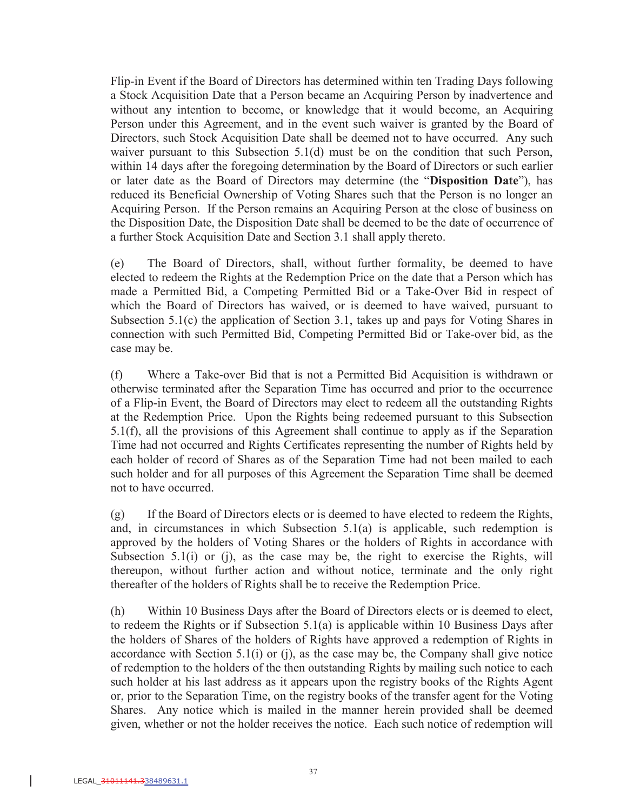Flip-in Event if the Board of Directors has determined within ten Trading Days following a Stock Acquisition Date that a Person became an Acquiring Person by inadvertence and without any intention to become, or knowledge that it would become, an Acquiring Person under this Agreement, and in the event such waiver is granted by the Board of Directors, such Stock Acquisition Date shall be deemed not to have occurred. Any such waiver pursuant to this Subsection 5.1(d) must be on the condition that such Person, within 14 days after the foregoing determination by the Board of Directors or such earlier or later date as the Board of Directors may determine (the "**Disposition Date**"), has reduced its Beneficial Ownership of Voting Shares such that the Person is no longer an Acquiring Person. If the Person remains an Acquiring Person at the close of business on the Disposition Date, the Disposition Date shall be deemed to be the date of occurrence of a further Stock Acquisition Date and Section 3.1 shall apply thereto.

(e) The Board of Directors, shall, without further formality, be deemed to have elected to redeem the Rights at the Redemption Price on the date that a Person which has made a Permitted Bid, a Competing Permitted Bid or a Take-Over Bid in respect of which the Board of Directors has waived, or is deemed to have waived, pursuant to Subsection 5.1(c) the application of Section 3.1, takes up and pays for Voting Shares in connection with such Permitted Bid, Competing Permitted Bid or Take-over bid, as the case may be.

(f) Where a Take-over Bid that is not a Permitted Bid Acquisition is withdrawn or otherwise terminated after the Separation Time has occurred and prior to the occurrence of a Flip-in Event, the Board of Directors may elect to redeem all the outstanding Rights at the Redemption Price. Upon the Rights being redeemed pursuant to this Subsection 5.1(f), all the provisions of this Agreement shall continue to apply as if the Separation Time had not occurred and Rights Certificates representing the number of Rights held by each holder of record of Shares as of the Separation Time had not been mailed to each such holder and for all purposes of this Agreement the Separation Time shall be deemed not to have occurred.

(g) If the Board of Directors elects or is deemed to have elected to redeem the Rights, and, in circumstances in which Subsection 5.1(a) is applicable, such redemption is approved by the holders of Voting Shares or the holders of Rights in accordance with Subsection 5.1(i) or (j), as the case may be, the right to exercise the Rights, will thereupon, without further action and without notice, terminate and the only right thereafter of the holders of Rights shall be to receive the Redemption Price.

(h) Within 10 Business Days after the Board of Directors elects or is deemed to elect, to redeem the Rights or if Subsection 5.1(a) is applicable within 10 Business Days after the holders of Shares of the holders of Rights have approved a redemption of Rights in accordance with Section  $5.1(i)$  or  $(i)$ , as the case may be, the Company shall give notice of redemption to the holders of the then outstanding Rights by mailing such notice to each such holder at his last address as it appears upon the registry books of the Rights Agent or, prior to the Separation Time, on the registry books of the transfer agent for the Voting Shares. Any notice which is mailed in the manner herein provided shall be deemed given, whether or not the holder receives the notice. Each such notice of redemption will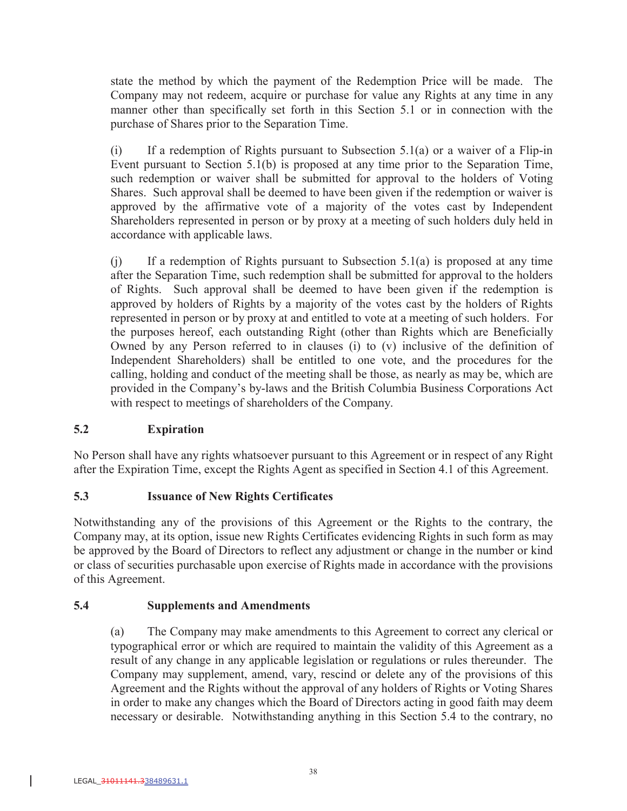state the method by which the payment of the Redemption Price will be made. The Company may not redeem, acquire or purchase for value any Rights at any time in any manner other than specifically set forth in this Section 5.1 or in connection with the purchase of Shares prior to the Separation Time.

 $(i)$  If a redemption of Rights pursuant to Subsection 5.1(a) or a waiver of a Flip-in Event pursuant to Section 5.1(b) is proposed at any time prior to the Separation Time, such redemption or waiver shall be submitted for approval to the holders of Voting Shares. Such approval shall be deemed to have been given if the redemption or waiver is approved by the affirmative vote of a majority of the votes cast by Independent Shareholders represented in person or by proxy at a meeting of such holders duly held in accordance with applicable laws.

(j) If a redemption of Rights pursuant to Subsection 5.1(a) is proposed at any time after the Separation Time, such redemption shall be submitted for approval to the holders of Rights. Such approval shall be deemed to have been given if the redemption is approved by holders of Rights by a majority of the votes cast by the holders of Rights represented in person or by proxy at and entitled to vote at a meeting of such holders. For the purposes hereof, each outstanding Right (other than Rights which are Beneficially Owned by any Person referred to in clauses (i) to (v) inclusive of the definition of Independent Shareholders) shall be entitled to one vote, and the procedures for the calling, holding and conduct of the meeting shall be those, as nearly as may be, which are provided in the Company's by-laws and the British Columbia Business Corporations Act with respect to meetings of shareholders of the Company.

# **5.2 Expiration**

No Person shall have any rights whatsoever pursuant to this Agreement or in respect of any Right after the Expiration Time, except the Rights Agent as specified in Section 4.1 of this Agreement.

# **5.3 Issuance of New Rights Certificates**

Notwithstanding any of the provisions of this Agreement or the Rights to the contrary, the Company may, at its option, issue new Rights Certificates evidencing Rights in such form as may be approved by the Board of Directors to reflect any adjustment or change in the number or kind or class of securities purchasable upon exercise of Rights made in accordance with the provisions of this Agreement.

### **5.4 Supplements and Amendments**

(a) The Company may make amendments to this Agreement to correct any clerical or typographical error or which are required to maintain the validity of this Agreement as a result of any change in any applicable legislation or regulations or rules thereunder. The Company may supplement, amend, vary, rescind or delete any of the provisions of this Agreement and the Rights without the approval of any holders of Rights or Voting Shares in order to make any changes which the Board of Directors acting in good faith may deem necessary or desirable. Notwithstanding anything in this Section 5.4 to the contrary, no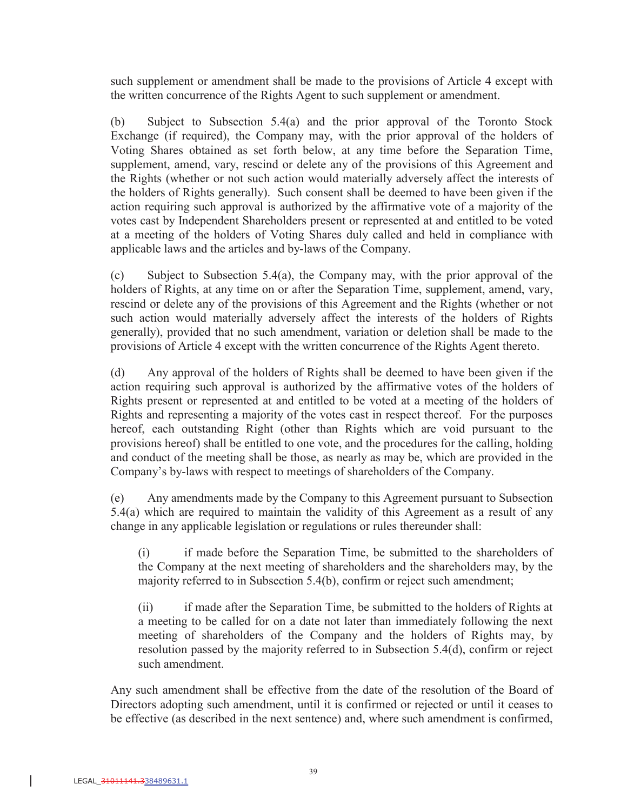such supplement or amendment shall be made to the provisions of Article 4 except with the written concurrence of the Rights Agent to such supplement or amendment.

(b) Subject to Subsection 5.4(a) and the prior approval of the Toronto Stock Exchange (if required), the Company may, with the prior approval of the holders of Voting Shares obtained as set forth below, at any time before the Separation Time, supplement, amend, vary, rescind or delete any of the provisions of this Agreement and the Rights (whether or not such action would materially adversely affect the interests of the holders of Rights generally). Such consent shall be deemed to have been given if the action requiring such approval is authorized by the affirmative vote of a majority of the votes cast by Independent Shareholders present or represented at and entitled to be voted at a meeting of the holders of Voting Shares duly called and held in compliance with applicable laws and the articles and by-laws of the Company.

(c) Subject to Subsection 5.4(a), the Company may, with the prior approval of the holders of Rights, at any time on or after the Separation Time, supplement, amend, vary, rescind or delete any of the provisions of this Agreement and the Rights (whether or not such action would materially adversely affect the interests of the holders of Rights generally), provided that no such amendment, variation or deletion shall be made to the provisions of Article 4 except with the written concurrence of the Rights Agent thereto.

(d) Any approval of the holders of Rights shall be deemed to have been given if the action requiring such approval is authorized by the affirmative votes of the holders of Rights present or represented at and entitled to be voted at a meeting of the holders of Rights and representing a majority of the votes cast in respect thereof. For the purposes hereof, each outstanding Right (other than Rights which are void pursuant to the provisions hereof) shall be entitled to one vote, and the procedures for the calling, holding and conduct of the meeting shall be those, as nearly as may be, which are provided in the Company's by-laws with respect to meetings of shareholders of the Company.

(e) Any amendments made by the Company to this Agreement pursuant to Subsection 5.4(a) which are required to maintain the validity of this Agreement as a result of any change in any applicable legislation or regulations or rules thereunder shall:

(i) if made before the Separation Time, be submitted to the shareholders of the Company at the next meeting of shareholders and the shareholders may, by the majority referred to in Subsection 5.4(b), confirm or reject such amendment;

(ii) if made after the Separation Time, be submitted to the holders of Rights at a meeting to be called for on a date not later than immediately following the next meeting of shareholders of the Company and the holders of Rights may, by resolution passed by the majority referred to in Subsection 5.4(d), confirm or reject such amendment.

Any such amendment shall be effective from the date of the resolution of the Board of Directors adopting such amendment, until it is confirmed or rejected or until it ceases to be effective (as described in the next sentence) and, where such amendment is confirmed,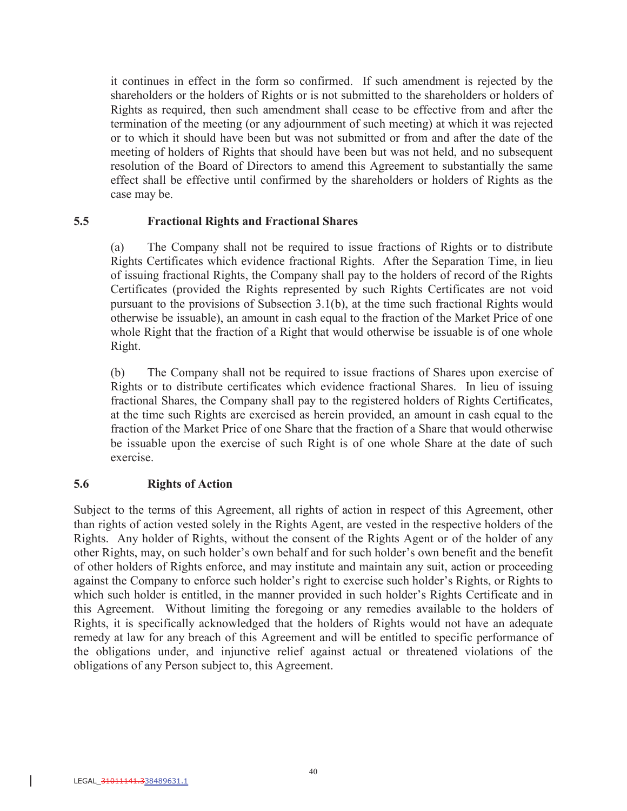it continues in effect in the form so confirmed. If such amendment is rejected by the shareholders or the holders of Rights or is not submitted to the shareholders or holders of Rights as required, then such amendment shall cease to be effective from and after the termination of the meeting (or any adjournment of such meeting) at which it was rejected or to which it should have been but was not submitted or from and after the date of the meeting of holders of Rights that should have been but was not held, and no subsequent resolution of the Board of Directors to amend this Agreement to substantially the same effect shall be effective until confirmed by the shareholders or holders of Rights as the case may be.

### **5.5 Fractional Rights and Fractional Shares**

(a) The Company shall not be required to issue fractions of Rights or to distribute Rights Certificates which evidence fractional Rights. After the Separation Time, in lieu of issuing fractional Rights, the Company shall pay to the holders of record of the Rights Certificates (provided the Rights represented by such Rights Certificates are not void pursuant to the provisions of Subsection 3.1(b), at the time such fractional Rights would otherwise be issuable), an amount in cash equal to the fraction of the Market Price of one whole Right that the fraction of a Right that would otherwise be issuable is of one whole Right.

(b) The Company shall not be required to issue fractions of Shares upon exercise of Rights or to distribute certificates which evidence fractional Shares. In lieu of issuing fractional Shares, the Company shall pay to the registered holders of Rights Certificates, at the time such Rights are exercised as herein provided, an amount in cash equal to the fraction of the Market Price of one Share that the fraction of a Share that would otherwise be issuable upon the exercise of such Right is of one whole Share at the date of such exercise.

### **5.6 Rights of Action**

Subject to the terms of this Agreement, all rights of action in respect of this Agreement, other than rights of action vested solely in the Rights Agent, are vested in the respective holders of the Rights. Any holder of Rights, without the consent of the Rights Agent or of the holder of any other Rights, may, on such holder's own behalf and for such holder's own benefit and the benefit of other holders of Rights enforce, and may institute and maintain any suit, action or proceeding against the Company to enforce such holder's right to exercise such holder's Rights, or Rights to which such holder is entitled, in the manner provided in such holder's Rights Certificate and in this Agreement. Without limiting the foregoing or any remedies available to the holders of Rights, it is specifically acknowledged that the holders of Rights would not have an adequate remedy at law for any breach of this Agreement and will be entitled to specific performance of the obligations under, and injunctive relief against actual or threatened violations of the obligations of any Person subject to, this Agreement.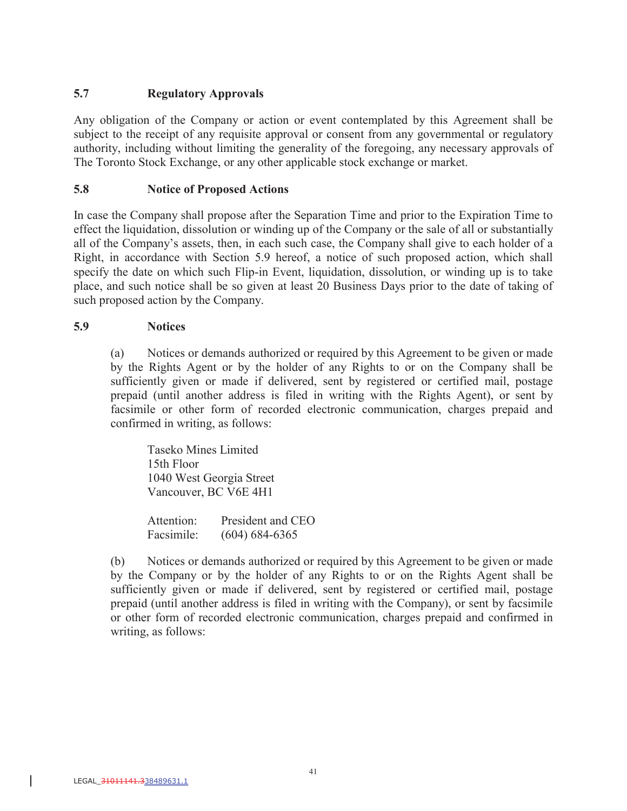# **5.7 Regulatory Approvals**

Any obligation of the Company or action or event contemplated by this Agreement shall be subject to the receipt of any requisite approval or consent from any governmental or regulatory authority, including without limiting the generality of the foregoing, any necessary approvals of The Toronto Stock Exchange, or any other applicable stock exchange or market.

### **5.8 Notice of Proposed Actions**

In case the Company shall propose after the Separation Time and prior to the Expiration Time to effect the liquidation, dissolution or winding up of the Company or the sale of all or substantially all of the Company's assets, then, in each such case, the Company shall give to each holder of a Right, in accordance with Section 5.9 hereof, a notice of such proposed action, which shall specify the date on which such Flip-in Event, liquidation, dissolution, or winding up is to take place, and such notice shall be so given at least 20 Business Days prior to the date of taking of such proposed action by the Company.

### **5.9 Notices**

(a) Notices or demands authorized or required by this Agreement to be given or made by the Rights Agent or by the holder of any Rights to or on the Company shall be sufficiently given or made if delivered, sent by registered or certified mail, postage prepaid (until another address is filed in writing with the Rights Agent), or sent by facsimile or other form of recorded electronic communication, charges prepaid and confirmed in writing, as follows:

Taseko Mines Limited 15th Floor 1040 West Georgia Street Vancouver, BC V6E 4H1

Attention: President and CEO Facsimile: (604) 684-6365

(b) Notices or demands authorized or required by this Agreement to be given or made by the Company or by the holder of any Rights to or on the Rights Agent shall be sufficiently given or made if delivered, sent by registered or certified mail, postage prepaid (until another address is filed in writing with the Company), or sent by facsimile or other form of recorded electronic communication, charges prepaid and confirmed in writing, as follows: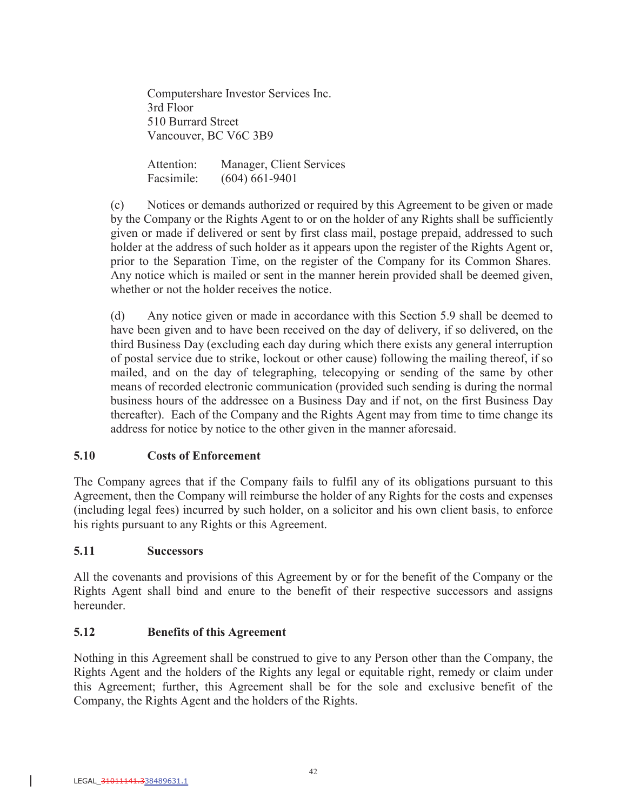Computershare Investor Services Inc. 3rd Floor 510 Burrard Street Vancouver, BC V6C 3B9

Attention: Manager, Client Services Facsimile: (604) 661-9401

(c) Notices or demands authorized or required by this Agreement to be given or made by the Company or the Rights Agent to or on the holder of any Rights shall be sufficiently given or made if delivered or sent by first class mail, postage prepaid, addressed to such holder at the address of such holder as it appears upon the register of the Rights Agent or, prior to the Separation Time, on the register of the Company for its Common Shares. Any notice which is mailed or sent in the manner herein provided shall be deemed given, whether or not the holder receives the notice.

(d) Any notice given or made in accordance with this Section 5.9 shall be deemed to have been given and to have been received on the day of delivery, if so delivered, on the third Business Day (excluding each day during which there exists any general interruption of postal service due to strike, lockout or other cause) following the mailing thereof, if so mailed, and on the day of telegraphing, telecopying or sending of the same by other means of recorded electronic communication (provided such sending is during the normal business hours of the addressee on a Business Day and if not, on the first Business Day thereafter). Each of the Company and the Rights Agent may from time to time change its address for notice by notice to the other given in the manner aforesaid.

# **5.10 Costs of Enforcement**

The Company agrees that if the Company fails to fulfil any of its obligations pursuant to this Agreement, then the Company will reimburse the holder of any Rights for the costs and expenses (including legal fees) incurred by such holder, on a solicitor and his own client basis, to enforce his rights pursuant to any Rights or this Agreement.

### **5.11 Successors**

All the covenants and provisions of this Agreement by or for the benefit of the Company or the Rights Agent shall bind and enure to the benefit of their respective successors and assigns hereunder.

# **5.12 Benefits of this Agreement**

Nothing in this Agreement shall be construed to give to any Person other than the Company, the Rights Agent and the holders of the Rights any legal or equitable right, remedy or claim under this Agreement; further, this Agreement shall be for the sole and exclusive benefit of the Company, the Rights Agent and the holders of the Rights.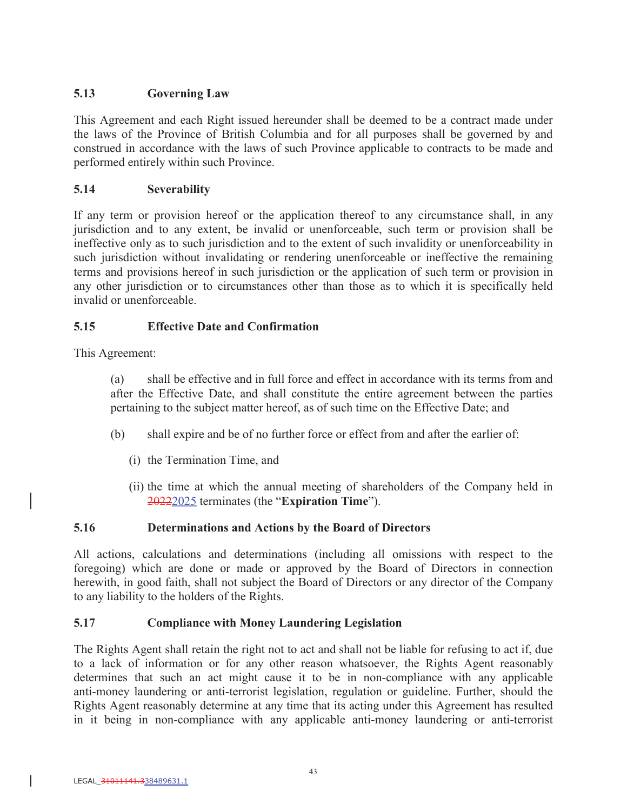# **5.13 Governing Law**

This Agreement and each Right issued hereunder shall be deemed to be a contract made under the laws of the Province of British Columbia and for all purposes shall be governed by and construed in accordance with the laws of such Province applicable to contracts to be made and performed entirely within such Province.

### **5.14 Severability**

If any term or provision hereof or the application thereof to any circumstance shall, in any jurisdiction and to any extent, be invalid or unenforceable, such term or provision shall be ineffective only as to such jurisdiction and to the extent of such invalidity or unenforceability in such jurisdiction without invalidating or rendering unenforceable or ineffective the remaining terms and provisions hereof in such jurisdiction or the application of such term or provision in any other jurisdiction or to circumstances other than those as to which it is specifically held invalid or unenforceable.

# **5.15 Effective Date and Confirmation**

This Agreement:

(a) shall be effective and in full force and effect in accordance with its terms from and after the Effective Date, and shall constitute the entire agreement between the parties pertaining to the subject matter hereof, as of such time on the Effective Date; and

- (b) shall expire and be of no further force or effect from and after the earlier of:
	- (i) the Termination Time, and
	- (ii) the time at which the annual meeting of shareholders of the Company held in 20222025 terminates (the "**Expiration Time**").

# **5.16 Determinations and Actions by the Board of Directors**

All actions, calculations and determinations (including all omissions with respect to the foregoing) which are done or made or approved by the Board of Directors in connection herewith, in good faith, shall not subject the Board of Directors or any director of the Company to any liability to the holders of the Rights.

# **5.17 Compliance with Money Laundering Legislation**

The Rights Agent shall retain the right not to act and shall not be liable for refusing to act if, due to a lack of information or for any other reason whatsoever, the Rights Agent reasonably determines that such an act might cause it to be in non-compliance with any applicable anti-money laundering or anti-terrorist legislation, regulation or guideline. Further, should the Rights Agent reasonably determine at any time that its acting under this Agreement has resulted in it being in non-compliance with any applicable anti-money laundering or anti-terrorist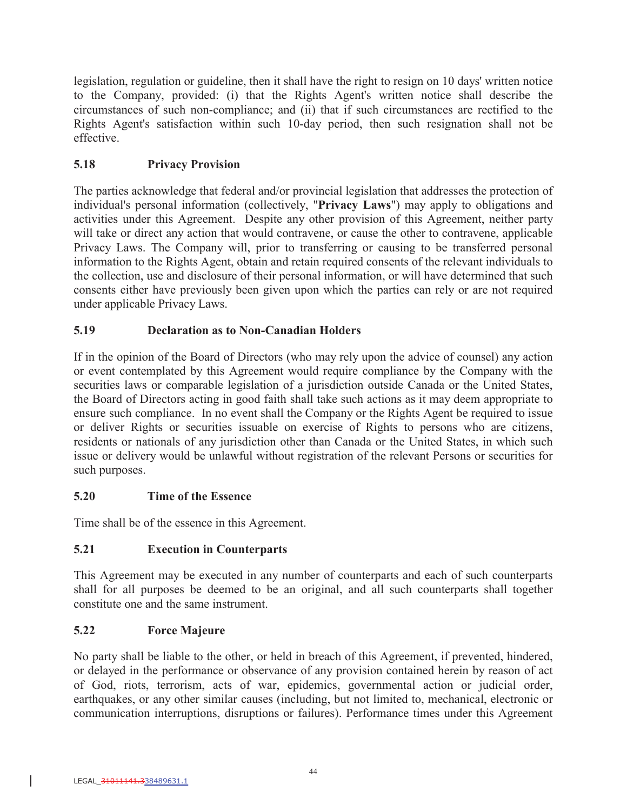legislation, regulation or guideline, then it shall have the right to resign on 10 days' written notice to the Company, provided: (i) that the Rights Agent's written notice shall describe the circumstances of such non-compliance; and (ii) that if such circumstances are rectified to the Rights Agent's satisfaction within such 10-day period, then such resignation shall not be effective.

# **5.18 Privacy Provision**

The parties acknowledge that federal and/or provincial legislation that addresses the protection of individual's personal information (collectively, "**Privacy Laws**") may apply to obligations and activities under this Agreement. Despite any other provision of this Agreement, neither party will take or direct any action that would contravene, or cause the other to contravene, applicable Privacy Laws. The Company will, prior to transferring or causing to be transferred personal information to the Rights Agent, obtain and retain required consents of the relevant individuals to the collection, use and disclosure of their personal information, or will have determined that such consents either have previously been given upon which the parties can rely or are not required under applicable Privacy Laws.

# **5.19 Declaration as to Non-Canadian Holders**

If in the opinion of the Board of Directors (who may rely upon the advice of counsel) any action or event contemplated by this Agreement would require compliance by the Company with the securities laws or comparable legislation of a jurisdiction outside Canada or the United States, the Board of Directors acting in good faith shall take such actions as it may deem appropriate to ensure such compliance. In no event shall the Company or the Rights Agent be required to issue or deliver Rights or securities issuable on exercise of Rights to persons who are citizens, residents or nationals of any jurisdiction other than Canada or the United States, in which such issue or delivery would be unlawful without registration of the relevant Persons or securities for such purposes.

# **5.20 Time of the Essence**

Time shall be of the essence in this Agreement.

# **5.21 Execution in Counterparts**

This Agreement may be executed in any number of counterparts and each of such counterparts shall for all purposes be deemed to be an original, and all such counterparts shall together constitute one and the same instrument.

# **5.22 Force Majeure**

No party shall be liable to the other, or held in breach of this Agreement, if prevented, hindered, or delayed in the performance or observance of any provision contained herein by reason of act of God, riots, terrorism, acts of war, epidemics, governmental action or judicial order, earthquakes, or any other similar causes (including, but not limited to, mechanical, electronic or communication interruptions, disruptions or failures). Performance times under this Agreement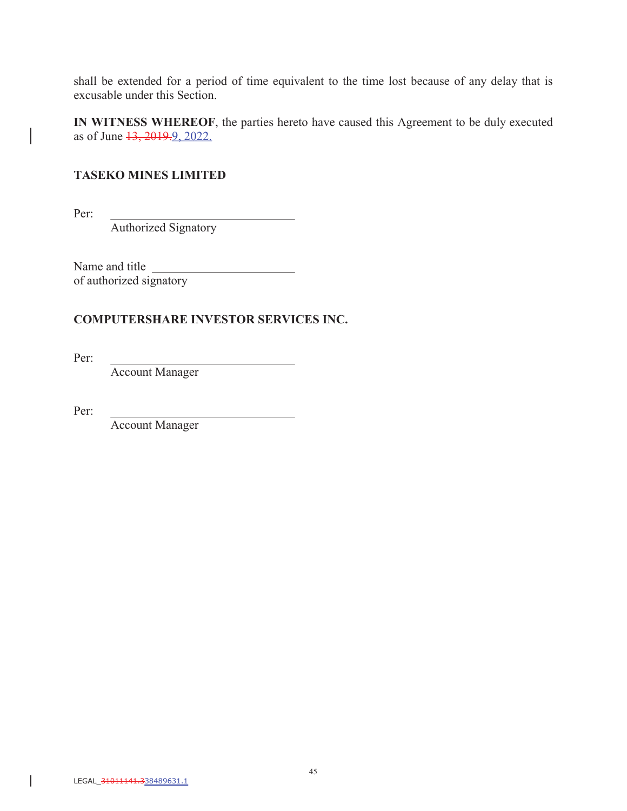shall be extended for a period of time equivalent to the time lost because of any delay that is excusable under this Section.

**IN WITNESS WHEREOF**, the parties hereto have caused this Agreement to be duly executed as of June 13, 2019. 9, 2022.

### **TASEKO MINES LIMITED**

Per:

 $\overline{\phantom{a}}$ 

Authorized Signatory

Name and title of authorized signatory

### **COMPUTERSHARE INVESTOR SERVICES INC.**

Per:

Account Manager

Per:

Account Manager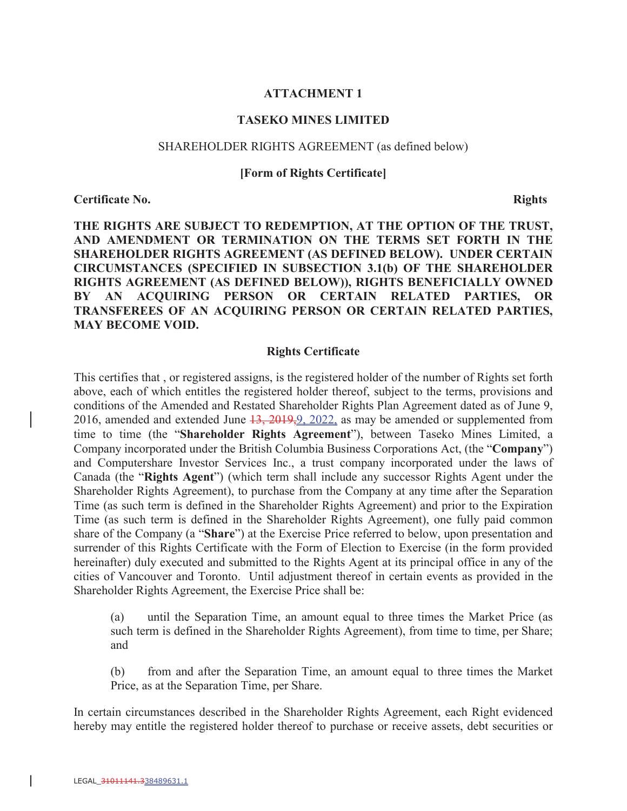#### **ATTACHMENT 1**

#### **TASEKO MINES LIMITED**

#### SHAREHOLDER RIGHTS AGREEMENT (as defined below)

#### **[Form of Rights Certificate]**

**Certificate No.** Rights

**THE RIGHTS ARE SUBJECT TO REDEMPTION, AT THE OPTION OF THE TRUST, AND AMENDMENT OR TERMINATION ON THE TERMS SET FORTH IN THE SHAREHOLDER RIGHTS AGREEMENT (AS DEFINED BELOW). UNDER CERTAIN CIRCUMSTANCES (SPECIFIED IN SUBSECTION 3.1(b) OF THE SHAREHOLDER RIGHTS AGREEMENT (AS DEFINED BELOW)), RIGHTS BENEFICIALLY OWNED BY AN ACQUIRING PERSON OR CERTAIN RELATED PARTIES, OR TRANSFEREES OF AN ACQUIRING PERSON OR CERTAIN RELATED PARTIES, MAY BECOME VOID.**

#### **Rights Certificate**

This certifies that , or registered assigns, is the registered holder of the number of Rights set forth above, each of which entitles the registered holder thereof, subject to the terms, provisions and conditions of the Amended and Restated Shareholder Rights Plan Agreement dated as of June 9, 2016, amended and extended June  $13, 2019, 9, 2022$ , as may be amended or supplemented from time to time (the "**Shareholder Rights Agreement**"), between Taseko Mines Limited, a Company incorporated under the British Columbia Business Corporations Act, (the "**Company**") and Computershare Investor Services Inc., a trust company incorporated under the laws of Canada (the "**Rights Agent**") (which term shall include any successor Rights Agent under the Shareholder Rights Agreement), to purchase from the Company at any time after the Separation Time (as such term is defined in the Shareholder Rights Agreement) and prior to the Expiration Time (as such term is defined in the Shareholder Rights Agreement), one fully paid common share of the Company (a "**Share**") at the Exercise Price referred to below, upon presentation and surrender of this Rights Certificate with the Form of Election to Exercise (in the form provided hereinafter) duly executed and submitted to the Rights Agent at its principal office in any of the cities of Vancouver and Toronto. Until adjustment thereof in certain events as provided in the Shareholder Rights Agreement, the Exercise Price shall be:

(a) until the Separation Time, an amount equal to three times the Market Price (as such term is defined in the Shareholder Rights Agreement), from time to time, per Share; and

(b) from and after the Separation Time, an amount equal to three times the Market Price, as at the Separation Time, per Share.

In certain circumstances described in the Shareholder Rights Agreement, each Right evidenced hereby may entitle the registered holder thereof to purchase or receive assets, debt securities or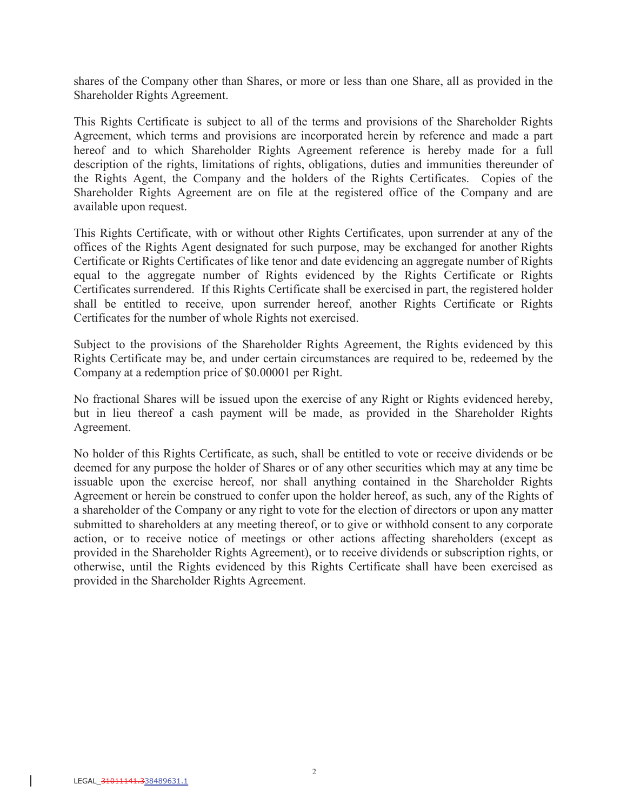shares of the Company other than Shares, or more or less than one Share, all as provided in the Shareholder Rights Agreement.

This Rights Certificate is subject to all of the terms and provisions of the Shareholder Rights Agreement, which terms and provisions are incorporated herein by reference and made a part hereof and to which Shareholder Rights Agreement reference is hereby made for a full description of the rights, limitations of rights, obligations, duties and immunities thereunder of the Rights Agent, the Company and the holders of the Rights Certificates. Copies of the Shareholder Rights Agreement are on file at the registered office of the Company and are available upon request.

This Rights Certificate, with or without other Rights Certificates, upon surrender at any of the offices of the Rights Agent designated for such purpose, may be exchanged for another Rights Certificate or Rights Certificates of like tenor and date evidencing an aggregate number of Rights equal to the aggregate number of Rights evidenced by the Rights Certificate or Rights Certificates surrendered. If this Rights Certificate shall be exercised in part, the registered holder shall be entitled to receive, upon surrender hereof, another Rights Certificate or Rights Certificates for the number of whole Rights not exercised.

Subject to the provisions of the Shareholder Rights Agreement, the Rights evidenced by this Rights Certificate may be, and under certain circumstances are required to be, redeemed by the Company at a redemption price of \$0.00001 per Right.

No fractional Shares will be issued upon the exercise of any Right or Rights evidenced hereby, but in lieu thereof a cash payment will be made, as provided in the Shareholder Rights Agreement.

No holder of this Rights Certificate, as such, shall be entitled to vote or receive dividends or be deemed for any purpose the holder of Shares or of any other securities which may at any time be issuable upon the exercise hereof, nor shall anything contained in the Shareholder Rights Agreement or herein be construed to confer upon the holder hereof, as such, any of the Rights of a shareholder of the Company or any right to vote for the election of directors or upon any matter submitted to shareholders at any meeting thereof, or to give or withhold consent to any corporate action, or to receive notice of meetings or other actions affecting shareholders (except as provided in the Shareholder Rights Agreement), or to receive dividends or subscription rights, or otherwise, until the Rights evidenced by this Rights Certificate shall have been exercised as provided in the Shareholder Rights Agreement.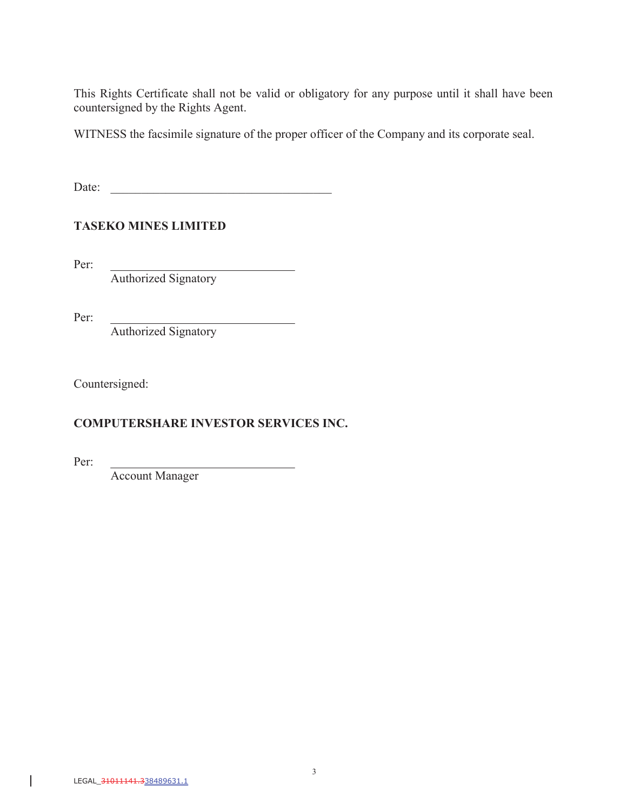This Rights Certificate shall not be valid or obligatory for any purpose until it shall have been countersigned by the Rights Agent.

WITNESS the facsimile signature of the proper officer of the Company and its corporate seal.

 $\overline{\phantom{a}}$ 

Date:

**TASEKO MINES LIMITED**

Per:

Authorized Signatory

Per:

Authorized Signatory

Countersigned:

# **COMPUTERSHARE INVESTOR SERVICES INC.**

Per:

Account Manager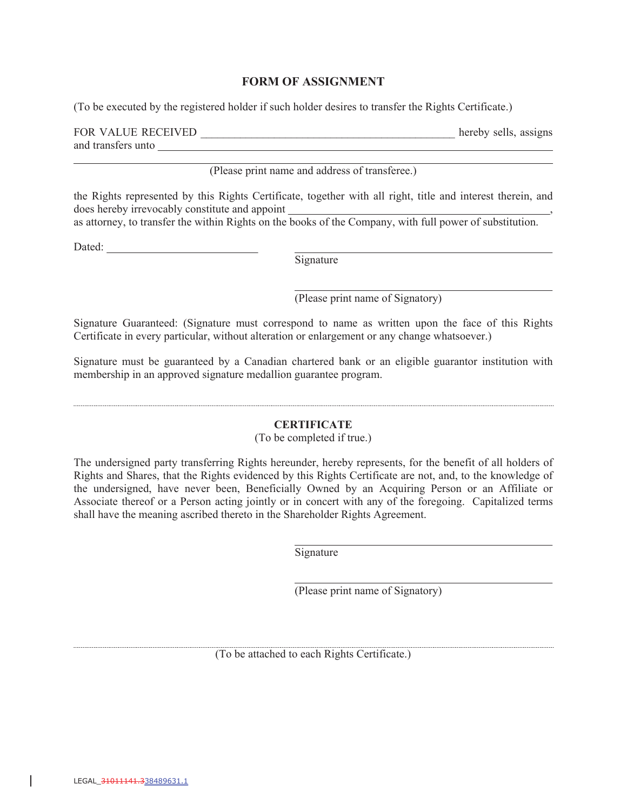#### **FORM OF ASSIGNMENT**

(To be executed by the registered holder if such holder desires to transfer the Rights Certificate.)

| FOR VALUE RECEIVED | hereby sells, assigns |  |
|--------------------|-----------------------|--|
| and transfers unto |                       |  |

(Please print name and address of transferee.)

the Rights represented by this Rights Certificate, together with all right, title and interest therein, and does hereby irrevocably constitute and appoint

as attorney, to transfer the within Rights on the books of the Company, with full power of substitution.

Dated: <u>Dated:</u>

Signature

(Please print name of Signatory)

Signature Guaranteed: (Signature must correspond to name as written upon the face of this Rights Certificate in every particular, without alteration or enlargement or any change whatsoever.)

Signature must be guaranteed by a Canadian chartered bank or an eligible guarantor institution with membership in an approved signature medallion guarantee program.

#### **CERTIFICATE**

(To be completed if true.)

The undersigned party transferring Rights hereunder, hereby represents, for the benefit of all holders of Rights and Shares, that the Rights evidenced by this Rights Certificate are not, and, to the knowledge of the undersigned, have never been, Beneficially Owned by an Acquiring Person or an Affiliate or Associate thereof or a Person acting jointly or in concert with any of the foregoing. Capitalized terms shall have the meaning ascribed thereto in the Shareholder Rights Agreement.

Signature

(Please print name of Signatory)

(To be attached to each Rights Certificate.)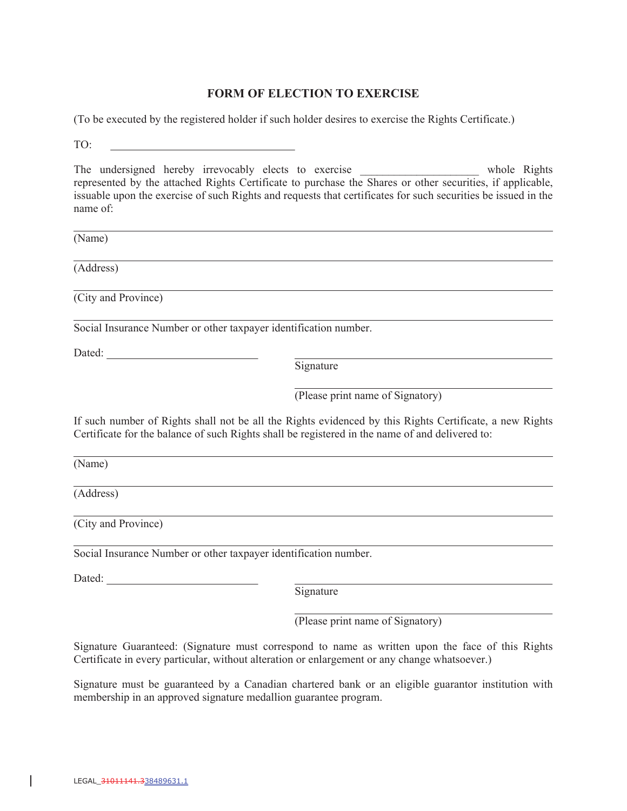### **FORM OF ELECTION TO EXERCISE**

(To be executed by the registered holder if such holder desires to exercise the Rights Certificate.)

TO:

The undersigned hereby irrevocably elects to exercise \_\_\_\_\_\_\_\_\_\_\_\_\_\_\_\_\_\_\_\_ whole Rights represented by the attached Rights Certificate to purchase the Shares or other securities, if applicable, issuable upon the exercise of such Rights and requests that certificates for such securities be issued in the name of:

(Name)

(Address)

(City and Province)

Social Insurance Number or other taxpayer identification number.

Dated:

Signature

(Please print name of Signatory)

If such number of Rights shall not be all the Rights evidenced by this Rights Certificate, a new Rights Certificate for the balance of such Rights shall be registered in the name of and delivered to:

(Name)

(Address)

(City and Province)

Social Insurance Number or other taxpayer identification number.

Dated: **Dated:** 

Signature

(Please print name of Signatory)

Signature Guaranteed: (Signature must correspond to name as written upon the face of this Rights Certificate in every particular, without alteration or enlargement or any change whatsoever.)

Signature must be guaranteed by a Canadian chartered bank or an eligible guarantor institution with membership in an approved signature medallion guarantee program.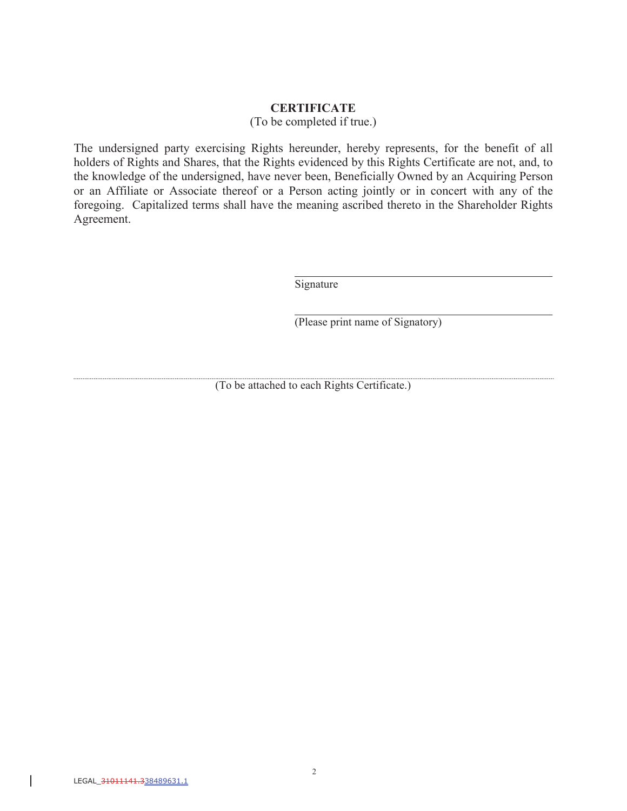#### **CERTIFICATE**

(To be completed if true.)

The undersigned party exercising Rights hereunder, hereby represents, for the benefit of all holders of Rights and Shares, that the Rights evidenced by this Rights Certificate are not, and, to the knowledge of the undersigned, have never been, Beneficially Owned by an Acquiring Person or an Affiliate or Associate thereof or a Person acting jointly or in concert with any of the foregoing. Capitalized terms shall have the meaning ascribed thereto in the Shareholder Rights Agreement.

Signature

(Please print name of Signatory)

(To be attached to each Rights Certificate.)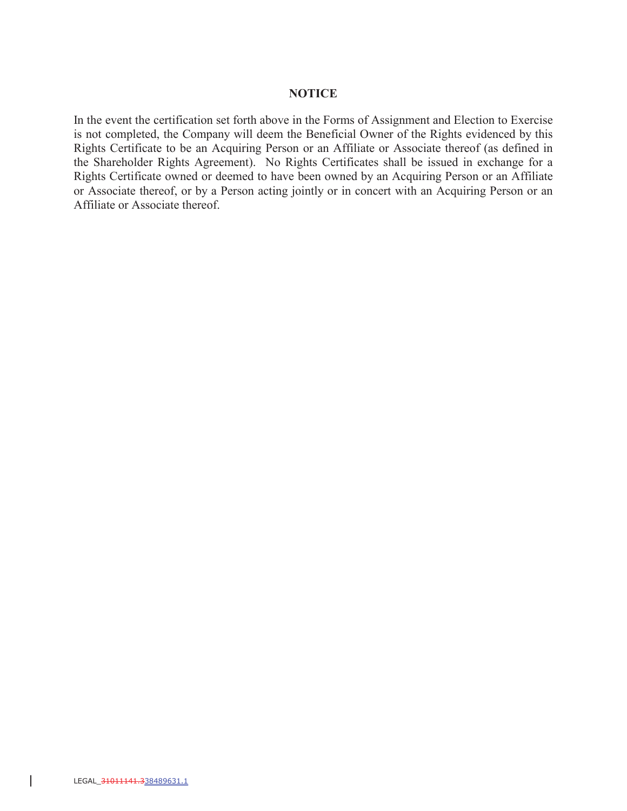#### **NOTICE**

In the event the certification set forth above in the Forms of Assignment and Election to Exercise is not completed, the Company will deem the Beneficial Owner of the Rights evidenced by this Rights Certificate to be an Acquiring Person or an Affiliate or Associate thereof (as defined in the Shareholder Rights Agreement). No Rights Certificates shall be issued in exchange for a Rights Certificate owned or deemed to have been owned by an Acquiring Person or an Affiliate or Associate thereof, or by a Person acting jointly or in concert with an Acquiring Person or an Affiliate or Associate thereof.